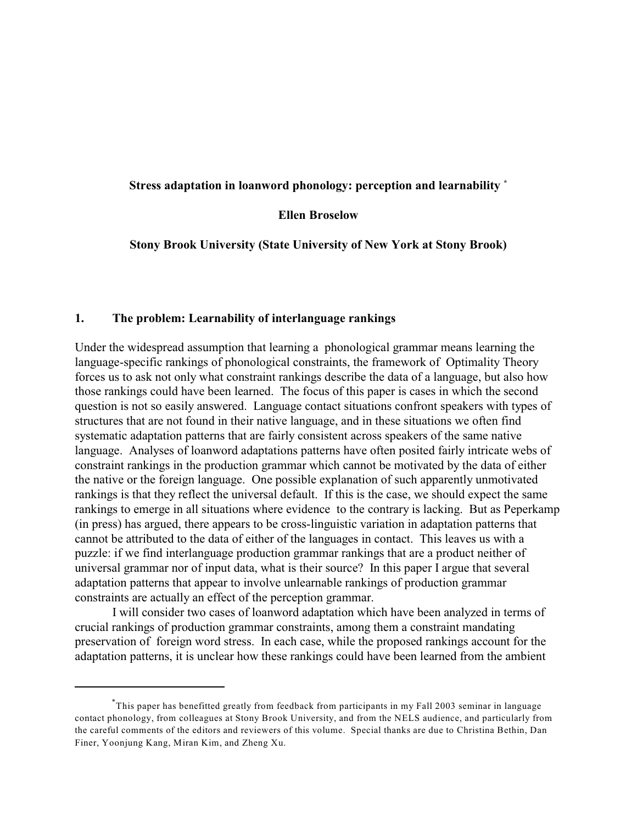# **Stress adaptation in loanword phonology: perception and learnability \***

**Ellen Broselow**

**Stony Brook University (State University of New York at Stony Brook)**

## **1. The problem: Learnability of interlanguage rankings**

Under the widespread assumption that learning a phonological grammar means learning the language-specific rankings of phonological constraints, the framework of Optimality Theory forces us to ask not only what constraint rankings describe the data of a language, but also how those rankings could have been learned. The focus of this paper is cases in which the second question is not so easily answered. Language contact situations confront speakers with types of structures that are not found in their native language, and in these situations we often find systematic adaptation patterns that are fairly consistent across speakers of the same native language. Analyses of loanword adaptations patterns have often posited fairly intricate webs of constraint rankings in the production grammar which cannot be motivated by the data of either the native or the foreign language. One possible explanation of such apparently unmotivated rankings is that they reflect the universal default. If this is the case, we should expect the same rankings to emerge in all situations where evidence to the contrary is lacking. But as Peperkamp (in press) has argued, there appears to be cross-linguistic variation in adaptation patterns that cannot be attributed to the data of either of the languages in contact. This leaves us with a puzzle: if we find interlanguage production grammar rankings that are a product neither of universal grammar nor of input data, what is their source? In this paper I argue that several adaptation patterns that appear to involve unlearnable rankings of production grammar constraints are actually an effect of the perception grammar.

I will consider two cases of loanword adaptation which have been analyzed in terms of crucial rankings of production grammar constraints, among them a constraint mandating preservation of foreign word stress. In each case, while the proposed rankings account for the adaptation patterns, it is unclear how these rankings could have been learned from the ambient

 $\textsuperscript{*}$ This paper has benefitted greatly from feedback from participants in my Fall 2003 seminar in language contact phonology, from colleagues at Stony Brook University, and from the NELS audience, and particularly from the careful comments of the editors and reviewers of this volume. Special thanks are due to Christina Bethin, Dan Finer, Yoonjung Kang, Miran Kim, and Zheng Xu.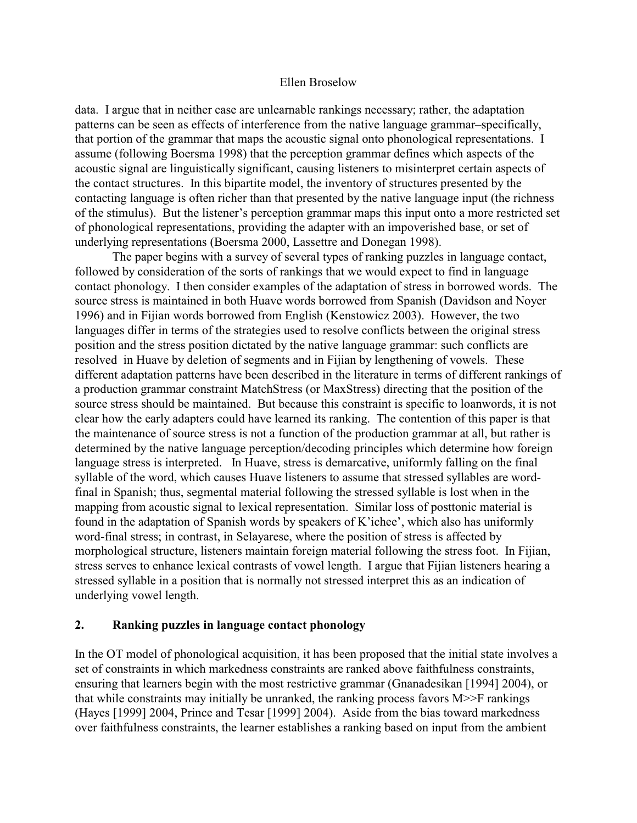data. I argue that in neither case are unlearnable rankings necessary; rather, the adaptation patterns can be seen as effects of interference from the native language grammar–specifically, that portion of the grammar that maps the acoustic signal onto phonological representations. I assume (following Boersma 1998) that the perception grammar defines which aspects of the acoustic signal are linguistically significant, causing listeners to misinterpret certain aspects of the contact structures. In this bipartite model, the inventory of structures presented by the contacting language is often richer than that presented by the native language input (the richness of the stimulus). But the listener's perception grammar maps this input onto a more restricted set of phonological representations, providing the adapter with an impoverished base, or set of underlying representations (Boersma 2000, Lassettre and Donegan 1998).

The paper begins with a survey of several types of ranking puzzles in language contact, followed by consideration of the sorts of rankings that we would expect to find in language contact phonology. I then consider examples of the adaptation of stress in borrowed words. The source stress is maintained in both Huave words borrowed from Spanish (Davidson and Noyer 1996) and in Fijian words borrowed from English (Kenstowicz 2003). However, the two languages differ in terms of the strategies used to resolve conflicts between the original stress position and the stress position dictated by the native language grammar: such conflicts are resolved in Huave by deletion of segments and in Fijian by lengthening of vowels. These different adaptation patterns have been described in the literature in terms of different rankings of a production grammar constraint MatchStress (or MaxStress) directing that the position of the source stress should be maintained. But because this constraint is specific to loanwords, it is not clear how the early adapters could have learned its ranking. The contention of this paper is that the maintenance of source stress is not a function of the production grammar at all, but rather is determined by the native language perception/decoding principles which determine how foreign language stress is interpreted. In Huave, stress is demarcative, uniformly falling on the final syllable of the word, which causes Huave listeners to assume that stressed syllables are wordfinal in Spanish; thus, segmental material following the stressed syllable is lost when in the mapping from acoustic signal to lexical representation. Similar loss of posttonic material is found in the adaptation of Spanish words by speakers of K'ichee', which also has uniformly word-final stress; in contrast, in Selayarese, where the position of stress is affected by morphological structure, listeners maintain foreign material following the stress foot. In Fijian, stress serves to enhance lexical contrasts of vowel length. I argue that Fijian listeners hearing a stressed syllable in a position that is normally not stressed interpret this as an indication of underlying vowel length.

# **2. Ranking puzzles in language contact phonology**

In the OT model of phonological acquisition, it has been proposed that the initial state involves a set of constraints in which markedness constraints are ranked above faithfulness constraints, ensuring that learners begin with the most restrictive grammar (Gnanadesikan [1994] 2004), or that while constraints may initially be unranked, the ranking process favors M>>F rankings (Hayes [1999] 2004, Prince and Tesar [1999] 2004). Aside from the bias toward markedness over faithfulness constraints, the learner establishes a ranking based on input from the ambient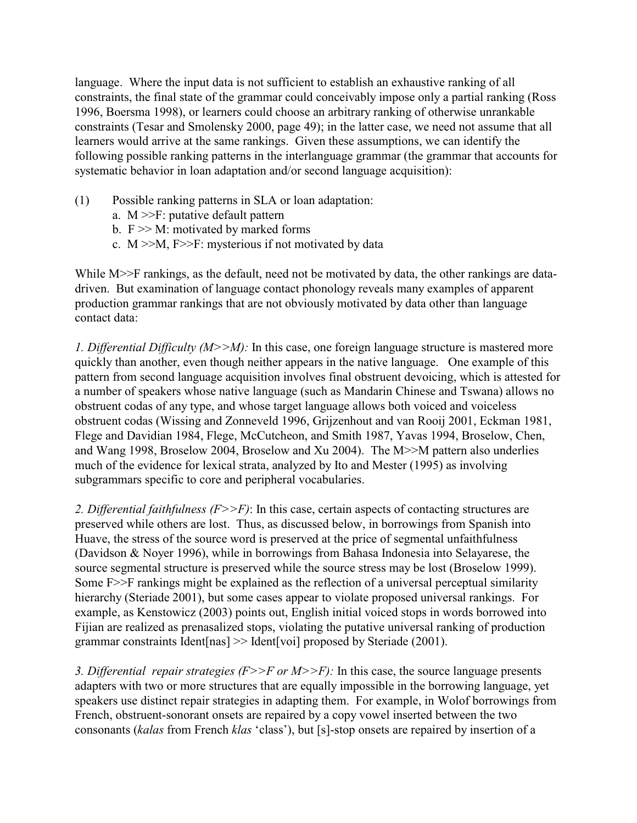language. Where the input data is not sufficient to establish an exhaustive ranking of all constraints, the final state of the grammar could conceivably impose only a partial ranking (Ross 1996, Boersma 1998), or learners could choose an arbitrary ranking of otherwise unrankable constraints (Tesar and Smolensky 2000, page 49); in the latter case, we need not assume that all learners would arrive at the same rankings. Given these assumptions, we can identify the following possible ranking patterns in the interlanguage grammar (the grammar that accounts for systematic behavior in loan adaptation and/or second language acquisition):

- (1) Possible ranking patterns in SLA or loan adaptation:
	- a. M >>F: putative default pattern
	- b.  $F \gg M$ : motivated by marked forms
	- c.  $M \gg M$ ,  $F \gg F$ : mysterious if not motivated by data

While M $\gg$ F rankings, as the default, need not be motivated by data, the other rankings are datadriven. But examination of language contact phonology reveals many examples of apparent production grammar rankings that are not obviously motivated by data other than language contact data:

*1. Differential Difficulty (M>>M):* In this case, one foreign language structure is mastered more quickly than another, even though neither appears in the native language. One example of this pattern from second language acquisition involves final obstruent devoicing, which is attested for a number of speakers whose native language (such as Mandarin Chinese and Tswana) allows no obstruent codas of any type, and whose target language allows both voiced and voiceless obstruent codas (Wissing and Zonneveld 1996, Grijzenhout and van Rooij 2001, Eckman 1981, Flege and Davidian 1984, Flege, McCutcheon, and Smith 1987, Yavas 1994, Broselow, Chen, and Wang 1998, Broselow 2004, Broselow and Xu 2004). The M>>M pattern also underlies much of the evidence for lexical strata, analyzed by Ito and Mester (1995) as involving subgrammars specific to core and peripheral vocabularies.

*2. Differential faithfulness (F>>F)*: In this case, certain aspects of contacting structures are preserved while others are lost. Thus, as discussed below, in borrowings from Spanish into Huave, the stress of the source word is preserved at the price of segmental unfaithfulness (Davidson & Noyer 1996), while in borrowings from Bahasa Indonesia into Selayarese, the source segmental structure is preserved while the source stress may be lost (Broselow 1999). Some F>>F rankings might be explained as the reflection of a universal perceptual similarity hierarchy (Steriade 2001), but some cases appear to violate proposed universal rankings. For example, as Kenstowicz (2003) points out, English initial voiced stops in words borrowed into Fijian are realized as prenasalized stops, violating the putative universal ranking of production grammar constraints Ident[nas] >> Ident[voi] proposed by Steriade (2001).

*3. Differential repair strategies (F>>F or M>>F):* In this case, the source language presents adapters with two or more structures that are equally impossible in the borrowing language, yet speakers use distinct repair strategies in adapting them. For example, in Wolof borrowings from French, obstruent-sonorant onsets are repaired by a copy vowel inserted between the two consonants (*kalas* from French *klas* 'class'), but [s]-stop onsets are repaired by insertion of a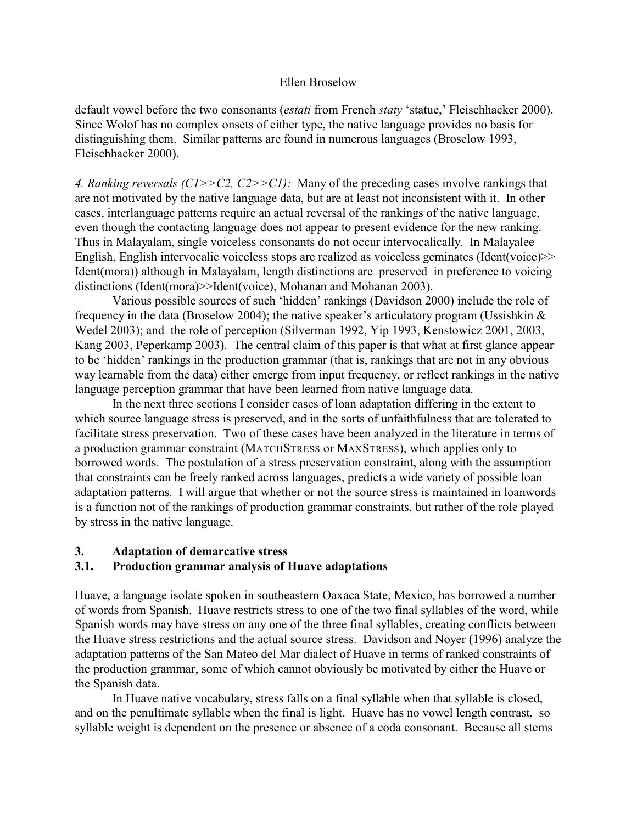default vowel before the two consonants (*estati* from French *staty* 'statue,' Fleischhacker 2000). Since Wolof has no complex onsets of either type, the native language provides no basis for distinguishing them. Similar patterns are found in numerous languages (Broselow 1993, Fleischhacker 2000).

*4. Ranking reversals (C1>>C2, C2>>C1):* Many of the preceding cases involve rankings that are not motivated by the native language data, but are at least not inconsistent with it. In other cases, interlanguage patterns require an actual reversal of the rankings of the native language, even though the contacting language does not appear to present evidence for the new ranking. Thus in Malayalam, single voiceless consonants do not occur intervocalically. In Malayalee English, English intervocalic voiceless stops are realized as voiceless geminates (Ident(voice)>> Ident(mora)) although in Malayalam, length distinctions are preserved in preference to voicing distinctions (Ident(mora)>>Ident(voice), Mohanan and Mohanan 2003).

Various possible sources of such 'hidden' rankings (Davidson 2000) include the role of frequency in the data (Broselow 2004); the native speaker's articulatory program (Ussishkin & Wedel 2003); and the role of perception (Silverman 1992, Yip 1993, Kenstowicz 2001, 2003, Kang 2003, Peperkamp 2003). The central claim of this paper is that what at first glance appear to be 'hidden' rankings in the production grammar (that is, rankings that are not in any obvious way learnable from the data) either emerge from input frequency, or reflect rankings in the native language perception grammar that have been learned from native language data.

In the next three sections I consider cases of loan adaptation differing in the extent to which source language stress is preserved, and in the sorts of unfaithfulness that are tolerated to facilitate stress preservation. Two of these cases have been analyzed in the literature in terms of a production grammar constraint (MATCHSTRESS or MAXSTRESS), which applies only to borrowed words. The postulation of a stress preservation constraint, along with the assumption that constraints can be freely ranked across languages, predicts a wide variety of possible loan adaptation patterns. I will argue that whether or not the source stress is maintained in loanwords is a function not of the rankings of production grammar constraints, but rather of the role played by stress in the native language.

## **3. Adaptation of demarcative stress**

## **3.1. Production grammar analysis of Huave adaptations**

Huave, a language isolate spoken in southeastern Oaxaca State, Mexico, has borrowed a number of words from Spanish. Huave restricts stress to one of the two final syllables of the word, while Spanish words may have stress on any one of the three final syllables, creating conflicts between the Huave stress restrictions and the actual source stress. Davidson and Noyer (1996) analyze the adaptation patterns of the San Mateo del Mar dialect of Huave in terms of ranked constraints of the production grammar, some of which cannot obviously be motivated by either the Huave or the Spanish data.

In Huave native vocabulary, stress falls on a final syllable when that syllable is closed, and on the penultimate syllable when the final is light. Huave has no vowel length contrast, so syllable weight is dependent on the presence or absence of a coda consonant. Because all stems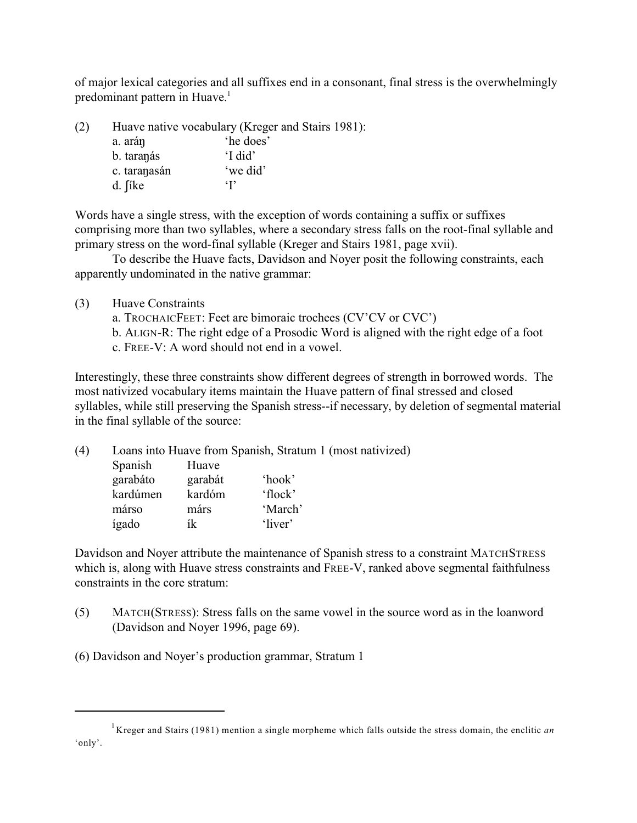of major lexical categories and all suffixes end in a consonant, final stress is the overwhelmingly predominant pattern in Huave. 1

(2) Huave native vocabulary (Kreger and Stairs 1981):

| a. arán      | 'he does' |
|--------------|-----------|
| b. taranás   | 'I did'   |
| c. taranasán | 'we did'  |
| d. fíke      | $\cdot$ r |

Words have a single stress, with the exception of words containing a suffix or suffixes comprising more than two syllables, where a secondary stress falls on the root-final syllable and primary stress on the word-final syllable (Kreger and Stairs 1981, page xvii).

To describe the Huave facts, Davidson and Noyer posit the following constraints, each apparently undominated in the native grammar:

# (3) Huave Constraints

- a. TROCHAICFEET: Feet are bimoraic trochees (CV'CV or CVC')
- b. ALIGN-R: The right edge of a Prosodic Word is aligned with the right edge of a foot
- c. FREE-V: A word should not end in a vowel.

Interestingly, these three constraints show different degrees of strength in borrowed words. The most nativized vocabulary items maintain the Huave pattern of final stressed and closed syllables, while still preserving the Spanish stress--if necessary, by deletion of segmental material in the final syllable of the source:

| (4) | Loans into Huave from Spanish, Stratum 1 (most nativized) |         |         |
|-----|-----------------------------------------------------------|---------|---------|
|     | Spanish                                                   | Huave   |         |
|     | garabáto                                                  | garabát | 'hook'  |
|     | kardúmen                                                  | kardóm  | 'flock' |
|     | márso                                                     | márs    | 'March' |
|     | ígado                                                     | ík      | 'liver' |

Davidson and Noyer attribute the maintenance of Spanish stress to a constraint MATCHSTRESS which is, along with Huave stress constraints and FREE-V, ranked above segmental faithfulness constraints in the core stratum:

- (5) MATCH(STRESS): Stress falls on the same vowel in the source word as in the loanword (Davidson and Noyer 1996, page 69).
- (6) Davidson and Noyer's production grammar, Stratum 1

Kreger and Stairs (1981) mention a single morpheme which falls outside the stress domain, the enclitic *an* 1 'only'.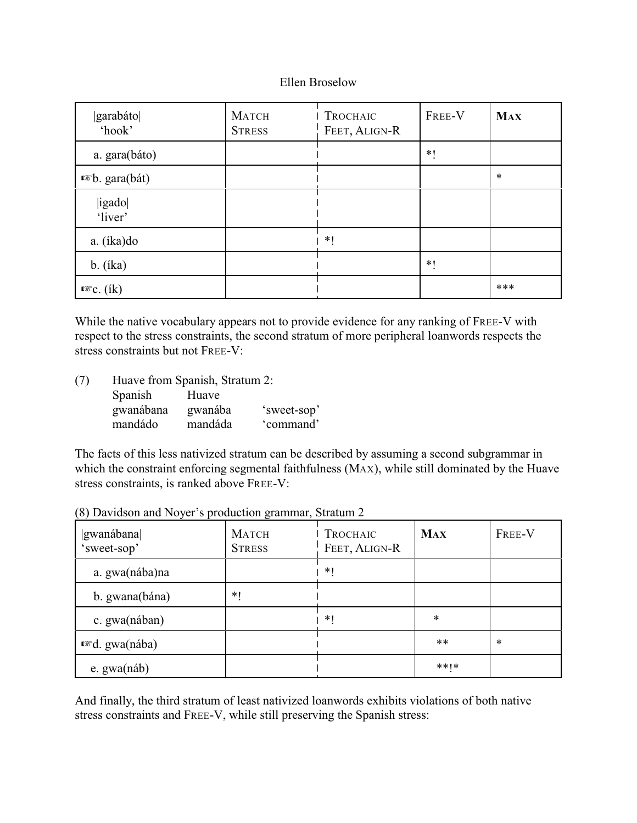| <i>s</i> arabáto<br>'hook' | <b>MATCH</b><br><b>STRESS</b> | TROCHAIC<br>FEET, ALIGN-R | FREE-V | <b>MAX</b> |
|----------------------------|-------------------------------|---------------------------|--------|------------|
| a. gara(báto)              |                               |                           | $*1$   |            |
| $\n  exp$ . gara(bát)      |                               |                           |        | $\ast$     |
| igado <br>'liver'          |                               |                           |        |            |
| a. (íka)do                 |                               | $*1$                      |        |            |
| b. (ika)                   |                               |                           | $*1$   |            |
| $R\infty$ . (ik)           |                               |                           |        | ***        |

While the native vocabulary appears not to provide evidence for any ranking of FREE-V with respect to the stress constraints, the second stratum of more peripheral loanwords respects the stress constraints but not FREE-V:

(7) Huave from Spanish, Stratum 2: Spanish Huave gwanábana gwanába 'sweet-sop' mandádo mandáda 'command'

The facts of this less nativized stratum can be described by assuming a second subgrammar in which the constraint enforcing segmental faithfulness (MAX), while still dominated by the Huave stress constraints, is ranked above FREE-V:

| gwanábana<br>'sweet-sop' | <b>MATCH</b><br><b>STRESS</b> | TROCHAIC<br>FEET, ALIGN-R | <b>MAX</b> | FREE-V |
|--------------------------|-------------------------------|---------------------------|------------|--------|
| a. gwa(nába)na           |                               | $*$ (                     |            |        |
| b. gwana(bána)           | $*1$                          |                           |            |        |
| c. gwa(nában)            |                               | $*1$                      | $\ast$     |        |
| $I\$ d. gwa(nába)        |                               |                           | $***$      | $\ast$ |
| e. gwa(náb)              |                               |                           | ** *       |        |

(8) Davidson and Noyer's production grammar, Stratum 2

And finally, the third stratum of least nativized loanwords exhibits violations of both native stress constraints and FREE-V, while still preserving the Spanish stress: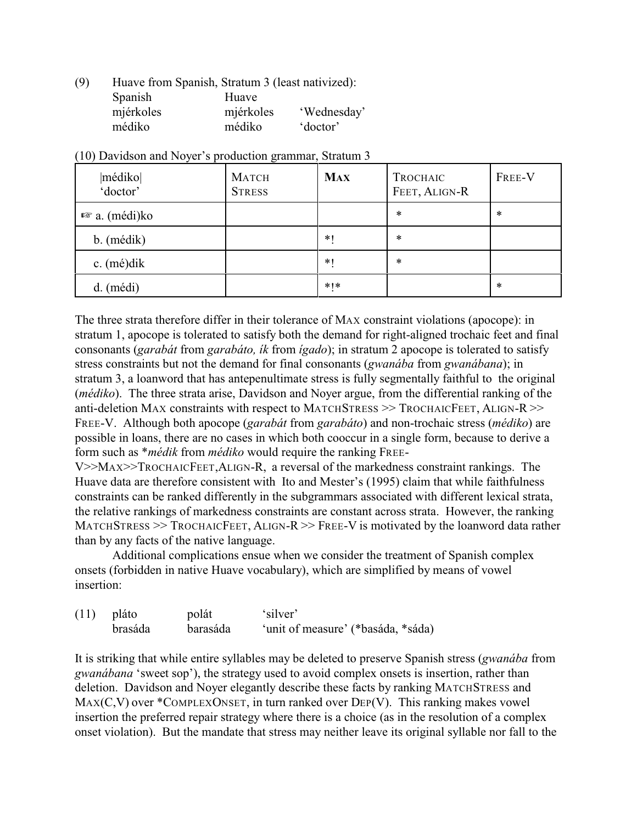| (9) |           | Huave from Spanish, Stratum 3 (least nativized): |             |
|-----|-----------|--------------------------------------------------|-------------|
|     | Spanish   | Huave                                            |             |
|     | mjérkoles | mjérkoles                                        | 'Wednesday' |
|     | médiko    | médiko                                           | 'doctor'    |

| médiko<br>'doctor'       | <b>MATCH</b><br><b>STRESS</b> | <b>MAX</b> | TROCHAIC<br>FEET, ALIGN-R | FREE-V |
|--------------------------|-------------------------------|------------|---------------------------|--------|
| $\mathbb{R}$ a. (médi)ko |                               |            | $\ast$                    | $\ast$ |
| b. (médik)               |                               | $*1$       | ∗                         |        |
| c. (mé)dik               |                               | $*1$       | $\ast$                    |        |
| d. (médi)                |                               | $*$   $*$  |                           | $\ast$ |

(10) Davidson and Noyer's production grammar, Stratum 3

The three strata therefore differ in their tolerance of MAX constraint violations (apocope): in stratum 1, apocope is tolerated to satisfy both the demand for right-aligned trochaic feet and final consonants (*garabát* from *garabáto, ík* from *ígado*); in stratum 2 apocope is tolerated to satisfy stress constraints but not the demand for final consonants (*gwanába* from *gwanábana*); in stratum 3, a loanword that has antepenultimate stress is fully segmentally faithful to the original (*médiko*). The three strata arise, Davidson and Noyer argue, from the differential ranking of the anti-deletion MAX constraints with respect to MATCHSTRESS >> TROCHAICFEET, ALIGN-R >> FREE-V. Although both apocope (*garabát* from *garabáto*) and non-trochaic stress (*médiko*) are possible in loans, there are no cases in which both cooccur in a single form, because to derive a form such as \**médik* from *médiko* would require the ranking FREE-

V>>MAX>>TROCHAICFEET,ALIGN-R, a reversal of the markedness constraint rankings. The Huave data are therefore consistent with Ito and Mester's (1995) claim that while faithfulness constraints can be ranked differently in the subgrammars associated with different lexical strata, the relative rankings of markedness constraints are constant across strata. However, the ranking MATCHSTRESS  $\gg$  TROCHAICFEET, ALIGN-R $\gg$  FREE-V is motivated by the loanword data rather than by any facts of the native language.

Additional complications ensue when we consider the treatment of Spanish complex onsets (forbidden in native Huave vocabulary), which are simplified by means of vowel insertion:

| (11) | pláto   | polát    | 'silver'                           |
|------|---------|----------|------------------------------------|
|      | brasáda | barasáda | 'unit of measure' (*basáda, *sáda) |

It is striking that while entire syllables may be deleted to preserve Spanish stress (*gwanába* from *gwanábana* 'sweet sop'), the strategy used to avoid complex onsets is insertion, rather than deletion. Davidson and Noyer elegantly describe these facts by ranking MATCHSTRESS and MAX(C,V) over \*COMPLEXONSET, in turn ranked over DEP(V). This ranking makes vowel insertion the preferred repair strategy where there is a choice (as in the resolution of a complex onset violation). But the mandate that stress may neither leave its original syllable nor fall to the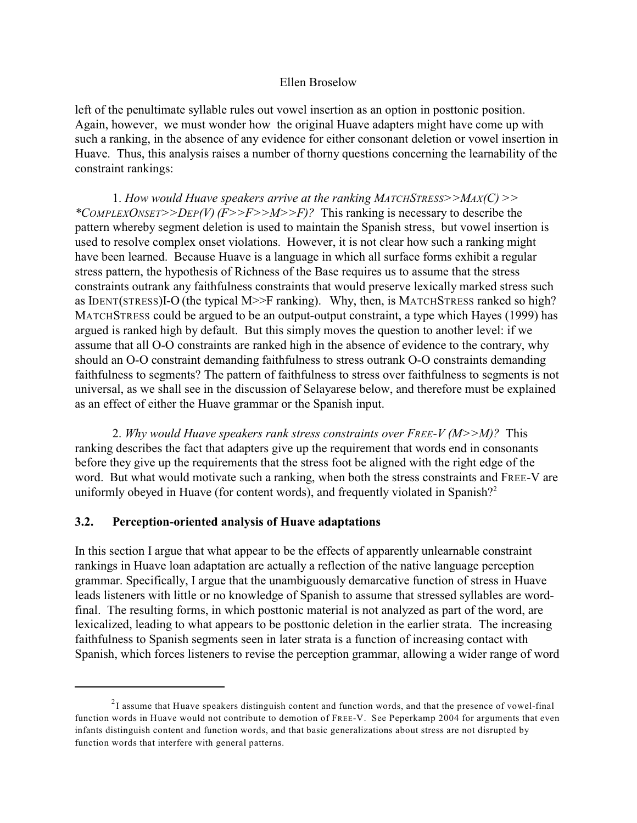left of the penultimate syllable rules out vowel insertion as an option in posttonic position. Again, however, we must wonder how the original Huave adapters might have come up with such a ranking, in the absence of any evidence for either consonant deletion or vowel insertion in Huave. Thus, this analysis raises a number of thorny questions concerning the learnability of the constraint rankings:

1. *How would Huave speakers arrive at the ranking MATCHSTRESS>>MAX(C) >> \*COMPLEXONSET>>DEP(V) (F>>F>>M>>F)?* This ranking is necessary to describe the pattern whereby segment deletion is used to maintain the Spanish stress, but vowel insertion is used to resolve complex onset violations. However, it is not clear how such a ranking might have been learned. Because Huave is a language in which all surface forms exhibit a regular stress pattern, the hypothesis of Richness of the Base requires us to assume that the stress constraints outrank any faithfulness constraints that would preserve lexically marked stress such as IDENT(STRESS)I-O (the typical M>>F ranking). Why, then, is MATCHSTRESS ranked so high? MATCHSTRESS could be argued to be an output-output constraint, a type which Hayes (1999) has argued is ranked high by default. But this simply moves the question to another level: if we assume that all O-O constraints are ranked high in the absence of evidence to the contrary, why should an O-O constraint demanding faithfulness to stress outrank O-O constraints demanding faithfulness to segments? The pattern of faithfulness to stress over faithfulness to segments is not universal, as we shall see in the discussion of Selayarese below, and therefore must be explained as an effect of either the Huave grammar or the Spanish input.

2. *Why would Huave speakers rank stress constraints over FREE-V (M>>M)?* This ranking describes the fact that adapters give up the requirement that words end in consonants before they give up the requirements that the stress foot be aligned with the right edge of the word. But what would motivate such a ranking, when both the stress constraints and FREE-V are uniformly obeyed in Huave (for content words), and frequently violated in Spanish?<sup>2</sup>

## **3.2. Perception-oriented analysis of Huave adaptations**

In this section I argue that what appear to be the effects of apparently unlearnable constraint rankings in Huave loan adaptation are actually a reflection of the native language perception grammar. Specifically, I argue that the unambiguously demarcative function of stress in Huave leads listeners with little or no knowledge of Spanish to assume that stressed syllables are wordfinal. The resulting forms, in which posttonic material is not analyzed as part of the word, are lexicalized, leading to what appears to be posttonic deletion in the earlier strata. The increasing faithfulness to Spanish segments seen in later strata is a function of increasing contact with Spanish, which forces listeners to revise the perception grammar, allowing a wider range of word

 $2$ I assume that Huave speakers distinguish content and function words, and that the presence of vowel-final function words in Huave would not contribute to demotion of FREE-V. See Peperkamp 2004 for arguments that even infants distinguish content and function words, and that basic generalizations about stress are not disrupted by function words that interfere with general patterns.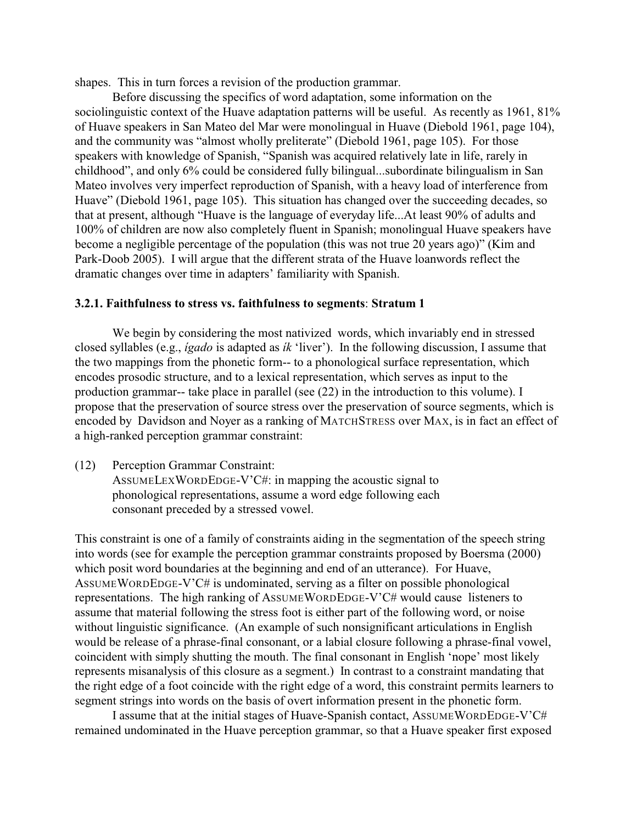shapes. This in turn forces a revision of the production grammar.

Before discussing the specifics of word adaptation, some information on the sociolinguistic context of the Huave adaptation patterns will be useful. As recently as 1961, 81% of Huave speakers in San Mateo del Mar were monolingual in Huave (Diebold 1961, page 104), and the community was "almost wholly preliterate" (Diebold 1961, page 105). For those speakers with knowledge of Spanish, "Spanish was acquired relatively late in life, rarely in childhood", and only 6% could be considered fully bilingual...subordinate bilingualism in San Mateo involves very imperfect reproduction of Spanish, with a heavy load of interference from Huave" (Diebold 1961, page 105). This situation has changed over the succeeding decades, so that at present, although "Huave is the language of everyday life...At least 90% of adults and 100% of children are now also completely fluent in Spanish; monolingual Huave speakers have become a negligible percentage of the population (this was not true 20 years ago)" (Kim and Park-Doob 2005). I will argue that the different strata of the Huave loanwords reflect the dramatic changes over time in adapters' familiarity with Spanish.

#### **3.2.1. Faithfulness to stress vs. faithfulness to segments**: **Stratum 1**

We begin by considering the most nativized words, which invariably end in stressed closed syllables (e.g., *ígado* is adapted as *ík* 'liver'). In the following discussion, I assume that the two mappings from the phonetic form-- to a phonological surface representation, which encodes prosodic structure, and to a lexical representation, which serves as input to the production grammar-- take place in parallel (see (22) in the introduction to this volume). I propose that the preservation of source stress over the preservation of source segments, which is encoded by Davidson and Noyer as a ranking of MATCHSTRESS over MAX, is in fact an effect of a high-ranked perception grammar constraint:

(12) Perception Grammar Constraint:

ASSUMELEXWORDEDGE-V'C#: in mapping the acoustic signal to phonological representations, assume a word edge following each consonant preceded by a stressed vowel.

This constraint is one of a family of constraints aiding in the segmentation of the speech string into words (see for example the perception grammar constraints proposed by Boersma (2000) which posit word boundaries at the beginning and end of an utterance). For Huave, ASSUMEWORDEDGE-V'C# is undominated, serving as a filter on possible phonological representations. The high ranking of ASSUMEWORDEDGE-V'C# would cause listeners to assume that material following the stress foot is either part of the following word, or noise without linguistic significance. (An example of such nonsignificant articulations in English would be release of a phrase-final consonant, or a labial closure following a phrase-final vowel, coincident with simply shutting the mouth. The final consonant in English 'nope' most likely represents misanalysis of this closure as a segment.) In contrast to a constraint mandating that the right edge of a foot coincide with the right edge of a word, this constraint permits learners to segment strings into words on the basis of overt information present in the phonetic form.

I assume that at the initial stages of Huave-Spanish contact, ASSUMEWORDEDGE-V'C# remained undominated in the Huave perception grammar, so that a Huave speaker first exposed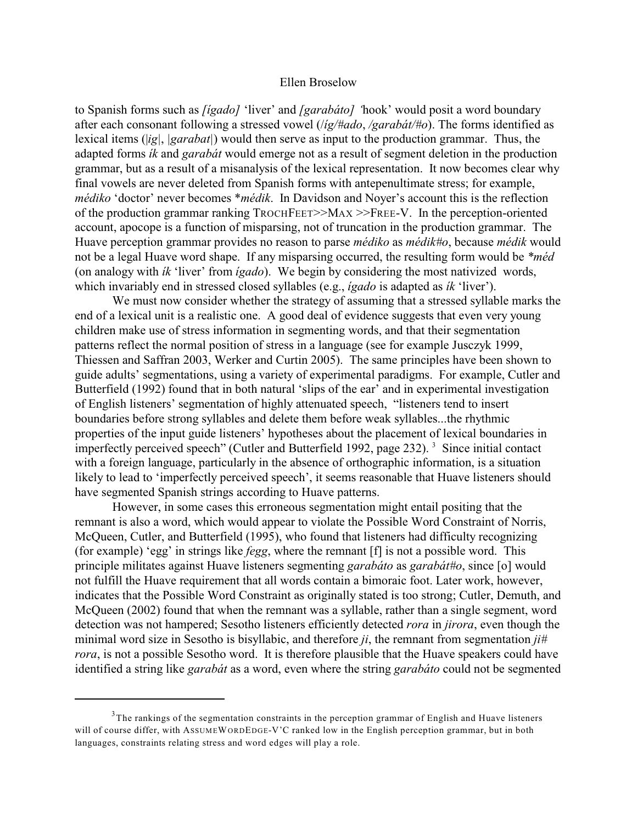to Spanish forms such as *[ígado]* 'liver' and *[garabáto] '*hook' would posit a word boundary after each consonant following a stressed vowel (/*íg/#ado*, */garabát/#o*). The forms identified as lexical items (|*ig|*, *|garabat|*) would then serve as input to the production grammar. Thus, the adapted forms *ík* and *garabát* would emerge not as a result of segment deletion in the production grammar, but as a result of a misanalysis of the lexical representation. It now becomes clear why final vowels are never deleted from Spanish forms with antepenultimate stress; for example, *médiko* 'doctor' never becomes \**médik*. In Davidson and Noyer's account this is the reflection of the production grammar ranking TROCHFEET>>MAX >>FREE-V. In the perception-oriented account, apocope is a function of misparsing, not of truncation in the production grammar. The Huave perception grammar provides no reason to parse *médiko* as *médik#o*, because *médik* would not be a legal Huave word shape. If any misparsing occurred, the resulting form would be *\*méd* (on analogy with *ík* 'liver' from *ígado*). We begin by considering the most nativized words, which invariably end in stressed closed syllables (e.g., *ígado* is adapted as *ík* 'liver').

We must now consider whether the strategy of assuming that a stressed syllable marks the end of a lexical unit is a realistic one. A good deal of evidence suggests that even very young children make use of stress information in segmenting words, and that their segmentation patterns reflect the normal position of stress in a language (see for example Jusczyk 1999, Thiessen and Saffran 2003, Werker and Curtin 2005). The same principles have been shown to guide adults' segmentations, using a variety of experimental paradigms. For example, Cutler and Butterfield (1992) found that in both natural 'slips of the ear' and in experimental investigation of English listeners' segmentation of highly attenuated speech, "listeners tend to insert boundaries before strong syllables and delete them before weak syllables...the rhythmic properties of the input guide listeners' hypotheses about the placement of lexical boundaries in imperfectly perceived speech" (Cutler and Butterfield 1992, page  $232$ ). <sup>3</sup> Since initial contact with a foreign language, particularly in the absence of orthographic information, is a situation likely to lead to 'imperfectly perceived speech', it seems reasonable that Huave listeners should have segmented Spanish strings according to Huave patterns.

However, in some cases this erroneous segmentation might entail positing that the remnant is also a word, which would appear to violate the Possible Word Constraint of Norris, McQueen, Cutler, and Butterfield (1995), who found that listeners had difficulty recognizing (for example) 'egg' in strings like *fegg*, where the remnant [f] is not a possible word. This principle militates against Huave listeners segmenting *garabáto* as *garabát#o*, since [o] would not fulfill the Huave requirement that all words contain a bimoraic foot. Later work, however, indicates that the Possible Word Constraint as originally stated is too strong; Cutler, Demuth, and McQueen (2002) found that when the remnant was a syllable, rather than a single segment, word detection was not hampered; Sesotho listeners efficiently detected *rora* in *jirora*, even though the minimal word size in Sesotho is bisyllabic, and therefore *ji*, the remnant from segmentation *ji# rora*, is not a possible Sesotho word. It is therefore plausible that the Huave speakers could have identified a string like *garabát* as a word, even where the string *garabáto* could not be segmented

 $3$ The rankings of the segmentation constraints in the perception grammar of English and Huave listeners will of course differ, with ASSUMEWORDEDGE-V'C ranked low in the English perception grammar, but in both languages, constraints relating stress and word edges will play a role.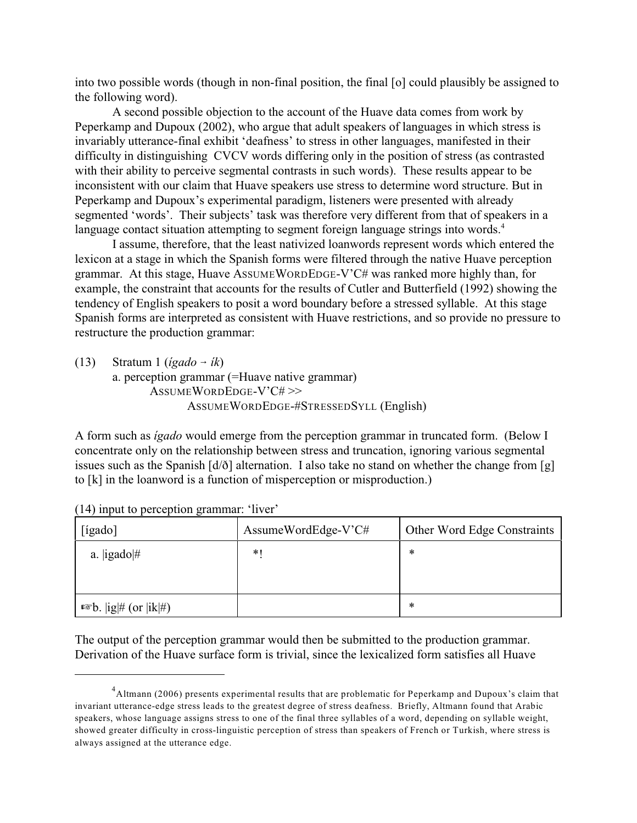into two possible words (though in non-final position, the final [o] could plausibly be assigned to the following word).

A second possible objection to the account of the Huave data comes from work by Peperkamp and Dupoux (2002), who argue that adult speakers of languages in which stress is invariably utterance-final exhibit 'deafness' to stress in other languages, manifested in their difficulty in distinguishing CVCV words differing only in the position of stress (as contrasted with their ability to perceive segmental contrasts in such words). These results appear to be inconsistent with our claim that Huave speakers use stress to determine word structure. But in Peperkamp and Dupoux's experimental paradigm, listeners were presented with already segmented 'words'. Their subjects' task was therefore very different from that of speakers in a language contact situation attempting to segment foreign language strings into words.<sup>4</sup>

I assume, therefore, that the least nativized loanwords represent words which entered the lexicon at a stage in which the Spanish forms were filtered through the native Huave perception grammar. At this stage, Huave ASSUMEWORDEDGE-V'C# was ranked more highly than, for example, the constraint that accounts for the results of Cutler and Butterfield (1992) showing the tendency of English speakers to posit a word boundary before a stressed syllable. At this stage Spanish forms are interpreted as consistent with Huave restrictions, and so provide no pressure to restructure the production grammar:

(13) Stratum 1 (*igado*  $\rightarrow$  *ik*) a. perception grammar (=Huave native grammar) ASSUMEWORDEDGE-V'C# >> ASSUMEWORDEDGE-#STRESSEDSYLL (English)

A form such as *ígado* would emerge from the perception grammar in truncated form. (Below I concentrate only on the relationship between stress and truncation, ignoring various segmental issues such as the Spanish  $\left[\frac{d}{\delta}\right]$  alternation. I also take no stand on whether the change from  $\left[\frac{g}{g}\right]$ to [k] in the loanword is a function of misperception or misproduction.)

| [ígado]                      | AssumeWordEdge-V'C# | Other Word Edge Constraints |
|------------------------------|---------------------|-----------------------------|
| a.  igado #                  | $*$ (               | ∗                           |
|                              |                     |                             |
| <b>■ b.</b>  ig # (or  ik #) |                     | ∗                           |

(14) input to perception grammar: 'liver'

The output of the perception grammar would then be submitted to the production grammar. Derivation of the Huave surface form is trivial, since the lexicalized form satisfies all Huave

 $4$ Altmann (2006) presents experimental results that are problematic for Peperkamp and Dupoux's claim that invariant utterance-edge stress leads to the greatest degree of stress deafness. Briefly, Altmann found that Arabic speakers, whose language assigns stress to one of the final three syllables of a word, depending on syllable weight, showed greater difficulty in cross-linguistic perception of stress than speakers of French or Turkish, where stress is always assigned at the utterance edge.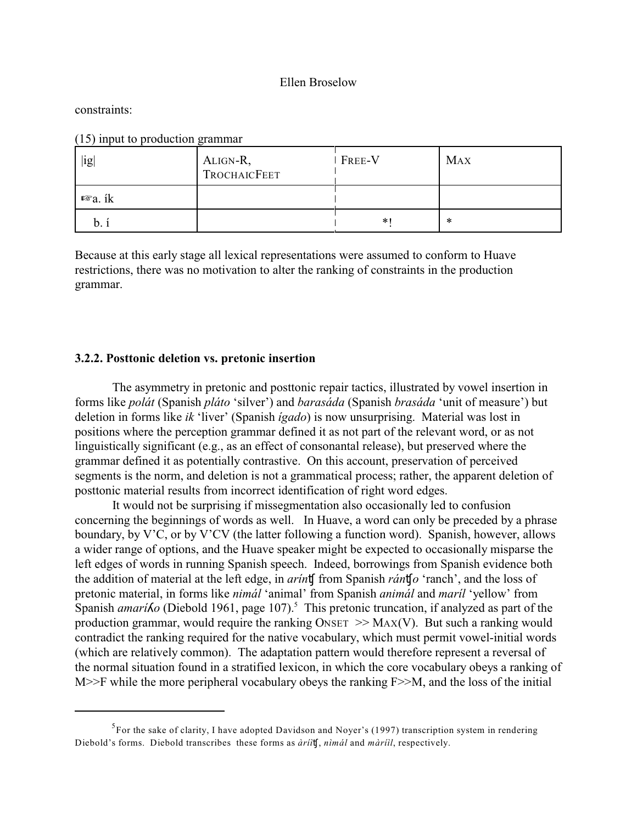constraints:

| <sub>lig</sub>     | ALIGN-R,<br>TrochaicFeet | I FREE-V | <b>MAX</b> |
|--------------------|--------------------------|----------|------------|
| $\mathbb{R}$ a. ik |                          |          |            |
| b. 1               |                          | * 1      | ∗          |

(15) input to production grammar

Because at this early stage all lexical representations were assumed to conform to Huave restrictions, there was no motivation to alter the ranking of constraints in the production grammar.

### **3.2.2. Posttonic deletion vs. pretonic insertion**

The asymmetry in pretonic and posttonic repair tactics, illustrated by vowel insertion in forms like *polát* (Spanish *pláto* 'silver') and *barasáda* (Spanish *brasáda* 'unit of measure') but deletion in forms like *ik* 'liver' (Spanish *ígado*) is now unsurprising. Material was lost in positions where the perception grammar defined it as not part of the relevant word, or as not linguistically significant (e.g., as an effect of consonantal release), but preserved where the grammar defined it as potentially contrastive. On this account, preservation of perceived segments is the norm, and deletion is not a grammatical process; rather, the apparent deletion of posttonic material results from incorrect identification of right word edges.

It would not be surprising if missegmentation also occasionally led to confusion concerning the beginnings of words as well. In Huave, a word can only be preceded by a phrase boundary, by V'C, or by V'CV (the latter following a function word). Spanish, however, allows a wider range of options, and the Huave speaker might be expected to occasionally misparse the left edges of words in running Spanish speech. Indeed, borrowings from Spanish evidence both the addition of material at the left edge, in *arín±* from Spanish *rán±o* 'ranch', and the loss of pretonic material, in forms like *nimál* 'animal' from Spanish *animál* and *maríl* 'yellow' from Spanish *amariko* (Diebold 1961, page 107).<sup>5</sup> This pretonic truncation, if analyzed as part of the production grammar, would require the ranking  $O$ NSET  $\gg$  MAX(V). But such a ranking would contradict the ranking required for the native vocabulary, which must permit vowel-initial words (which are relatively common). The adaptation pattern would therefore represent a reversal of the normal situation found in a stratified lexicon, in which the core vocabulary obeys a ranking of M >>F while the more peripheral vocabulary obeys the ranking F >>M, and the loss of the initial

 ${}^{5}$ For the sake of clarity, I have adopted Davidson and Noyer's (1997) transcription system in rendering Diebold's forms. Diebold transcribes these forms as *àríì±*, *nìmál* and *màríìl*, respectively.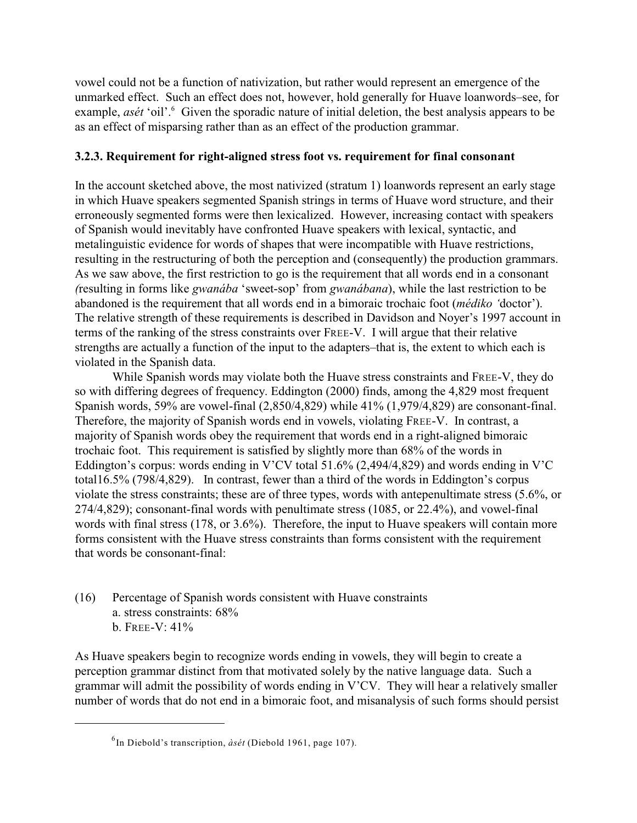vowel could not be a function of nativization, but rather would represent an emergence of the unmarked effect. Such an effect does not, however, hold generally for Huave loanwords–see, for example, *asét* 'oil'.<sup>6</sup> Given the sporadic nature of initial deletion, the best analysis appears to be as an effect of misparsing rather than as an effect of the production grammar.

# **3.2.3. Requirement for right-aligned stress foot vs. requirement for final consonant**

In the account sketched above, the most nativized (stratum 1) loanwords represent an early stage in which Huave speakers segmented Spanish strings in terms of Huave word structure, and their erroneously segmented forms were then lexicalized. However, increasing contact with speakers of Spanish would inevitably have confronted Huave speakers with lexical, syntactic, and metalinguistic evidence for words of shapes that were incompatible with Huave restrictions, resulting in the restructuring of both the perception and (consequently) the production grammars. As we saw above, the first restriction to go is the requirement that all words end in a consonant *(*resulting in forms like *gwanába* 'sweet-sop' from *gwanábana*), while the last restriction to be abandoned is the requirement that all words end in a bimoraic trochaic foot (*médiko '*doctor'). The relative strength of these requirements is described in Davidson and Noyer's 1997 account in terms of the ranking of the stress constraints over FREE-V. I will argue that their relative strengths are actually a function of the input to the adapters–that is, the extent to which each is violated in the Spanish data.

While Spanish words may violate both the Huave stress constraints and FREE-V, they do so with differing degrees of frequency. Eddington (2000) finds, among the 4,829 most frequent Spanish words, 59% are vowel-final (2,850/4,829) while 41% (1,979/4,829) are consonant-final. Therefore, the majority of Spanish words end in vowels, violating FREE-V. In contrast, a majority of Spanish words obey the requirement that words end in a right-aligned bimoraic trochaic foot. This requirement is satisfied by slightly more than 68% of the words in Eddington's corpus: words ending in V'CV total 51.6% (2,494/4,829) and words ending in V'C total16.5% (798/4,829). In contrast, fewer than a third of the words in Eddington's corpus violate the stress constraints; these are of three types, words with antepenultimate stress (5.6%, or 274/4,829); consonant-final words with penultimate stress (1085, or 22.4%), and vowel-final words with final stress (178, or 3.6%). Therefore, the input to Huave speakers will contain more forms consistent with the Huave stress constraints than forms consistent with the requirement that words be consonant-final:

(16) Percentage of Spanish words consistent with Huave constraints a. stress constraints: 68% b. FREE-V: 41%

As Huave speakers begin to recognize words ending in vowels, they will begin to create a perception grammar distinct from that motivated solely by the native language data. Such a grammar will admit the possibility of words ending in V'CV. They will hear a relatively smaller number of words that do not end in a bimoraic foot, and misanalysis of such forms should persist

<sup>&</sup>lt;sup>6</sup>In Diebold's transcription, *àsét* (Diebold 1961, page 107).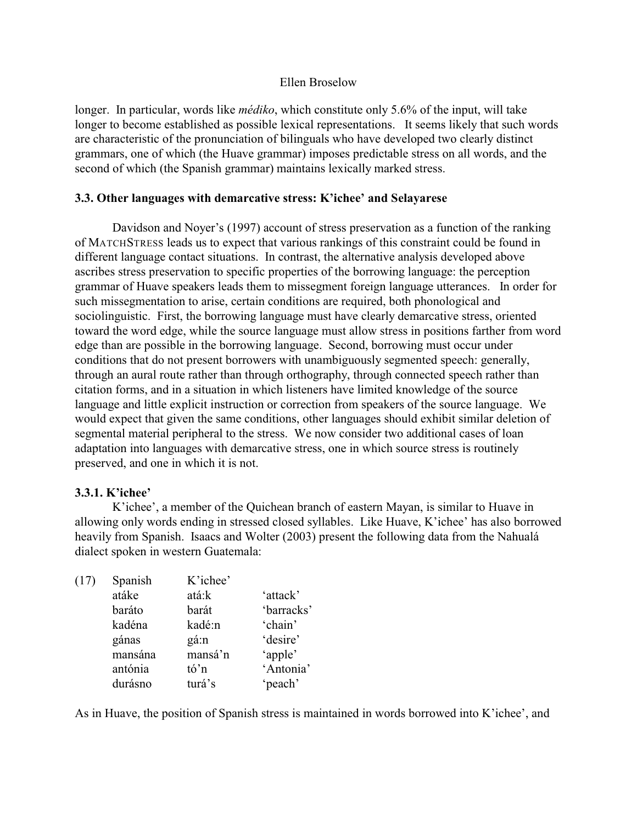longer. In particular, words like *médiko*, which constitute only 5.6% of the input, will take longer to become established as possible lexical representations. It seems likely that such words are characteristic of the pronunciation of bilinguals who have developed two clearly distinct grammars, one of which (the Huave grammar) imposes predictable stress on all words, and the second of which (the Spanish grammar) maintains lexically marked stress.

### **3.3. Other languages with demarcative stress: K'ichee' and Selayarese**

Davidson and Noyer's (1997) account of stress preservation as a function of the ranking of MATCHSTRESS leads us to expect that various rankings of this constraint could be found in different language contact situations. In contrast, the alternative analysis developed above ascribes stress preservation to specific properties of the borrowing language: the perception grammar of Huave speakers leads them to missegment foreign language utterances. In order for such missegmentation to arise, certain conditions are required, both phonological and sociolinguistic. First, the borrowing language must have clearly demarcative stress, oriented toward the word edge, while the source language must allow stress in positions farther from word edge than are possible in the borrowing language. Second, borrowing must occur under conditions that do not present borrowers with unambiguously segmented speech: generally, through an aural route rather than through orthography, through connected speech rather than citation forms, and in a situation in which listeners have limited knowledge of the source language and little explicit instruction or correction from speakers of the source language. We would expect that given the same conditions, other languages should exhibit similar deletion of segmental material peripheral to the stress. We now consider two additional cases of loan adaptation into languages with demarcative stress, one in which source stress is routinely preserved, and one in which it is not.

## **3.3.1. K'ichee'**

K'ichee', a member of the Quichean branch of eastern Mayan, is similar to Huave in allowing only words ending in stressed closed syllables. Like Huave, K'ichee' has also borrowed heavily from Spanish. Isaacs and Wolter (2003) present the following data from the Nahualá dialect spoken in western Guatemala:

| (17) | Spanish | K'ichee' |            |
|------|---------|----------|------------|
|      | atáke   | atá:k    | 'attack'   |
|      | baráto  | barát    | 'barracks' |
|      | kadéna  | kadé:n   | 'chain'    |
|      | gánas   | gá:n     | 'desire'   |
|      | mansána | mansá'n  | 'apple'    |
|      | antónia | tó'n     | 'Antonia'  |
|      | durásno | turá's   | 'peach'    |

As in Huave, the position of Spanish stress is maintained in words borrowed into K'ichee', and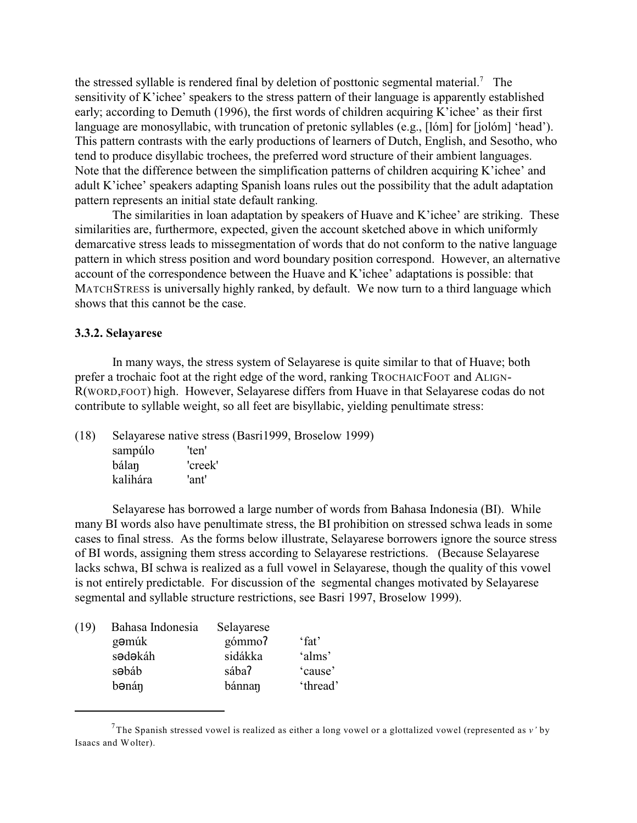the stressed syllable is rendered final by deletion of posttonic segmental material.<sup>7</sup> The sensitivity of K'ichee' speakers to the stress pattern of their language is apparently established early; according to Demuth (1996), the first words of children acquiring K'ichee' as their first language are monosyllabic, with truncation of pretonic syllables (e.g., [lóm] for [jolóm] 'head'). This pattern contrasts with the early productions of learners of Dutch, English, and Sesotho, who tend to produce disyllabic trochees, the preferred word structure of their ambient languages. Note that the difference between the simplification patterns of children acquiring K'ichee' and adult K'ichee' speakers adapting Spanish loans rules out the possibility that the adult adaptation pattern represents an initial state default ranking.

The similarities in loan adaptation by speakers of Huave and K'ichee' are striking. These similarities are, furthermore, expected, given the account sketched above in which uniformly demarcative stress leads to missegmentation of words that do not conform to the native language pattern in which stress position and word boundary position correspond. However, an alternative account of the correspondence between the Huave and K'ichee' adaptations is possible: that MATCHSTRESS is universally highly ranked, by default. We now turn to a third language which shows that this cannot be the case.

#### **3.3.2. Selayarese**

In many ways, the stress system of Selayarese is quite similar to that of Huave; both prefer a trochaic foot at the right edge of the word, ranking TROCHAICFOOT and ALIGN-R(WORD,FOOT) high. However, Selayarese differs from Huave in that Selayarese codas do not contribute to syllable weight, so all feet are bisyllabic, yielding penultimate stress:

| (18) | Selayarese native stress (Basri1999, Broselow 1999) |         |  |
|------|-----------------------------------------------------|---------|--|
|      | sampúlo                                             | 'ten'   |  |
|      | bálan                                               | 'creek' |  |
|      | kalihára                                            | 'ant'   |  |
|      |                                                     |         |  |

Selayarese has borrowed a large number of words from Bahasa Indonesia (BI). While many BI words also have penultimate stress, the BI prohibition on stressed schwa leads in some cases to final stress. As the forms below illustrate, Selayarese borrowers ignore the source stress of BI words, assigning them stress according to Selayarese restrictions. (Because Selayarese lacks schwa, BI schwa is realized as a full vowel in Selayarese, though the quality of this vowel is not entirely predictable. For discussion of the segmental changes motivated by Selayarese segmental and syllable structure restrictions, see Basri 1997, Broselow 1999).

| (19) | Bahasa Indonesia | Selayarese |          |
|------|------------------|------------|----------|
|      | gəmúk            | gómmo?     | 'fat'    |
|      | sədəkáh          | sidákka    | 'alms'   |
|      | s <b>abáb</b>    | sába?      | 'cause'  |
|      | bənán            | bánnan     | 'thread' |

<sup>&</sup>lt;sup>7</sup>The Spanish stressed vowel is realized as either a long vowel or a glottalized vowel (represented as  $v'$  by Isaacs and Wolter).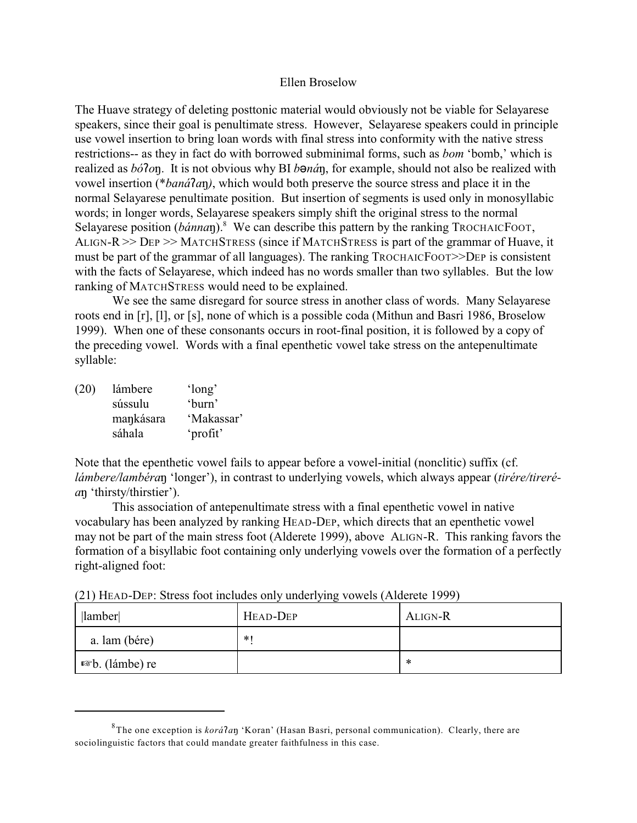The Huave strategy of deleting posttonic material would obviously not be viable for Selayarese speakers, since their goal is penultimate stress. However, Selayarese speakers could in principle use vowel insertion to bring loan words with final stress into conformity with the native stress restrictions-- as they in fact do with borrowed subminimal forms, such as *bom* 'bomb,' which is realized as *bó§oõ*. It is not obvious why BI *bcnáõ*, for example, should not also be realized with vowel insertion (\**baná§aõ)*, which would both preserve the source stress and place it in the normal Selayarese penultimate position. But insertion of segments is used only in monosyllabic words; in longer words, Selayarese speakers simply shift the original stress to the normal Selayarese position (bánnaq).<sup>8</sup> We can describe this pattern by the ranking TROCHAICFOOT, ALIGN-R >> DEP >> MATCHSTRESS (since if MATCHSTRESS is part of the grammar of Huave, it must be part of the grammar of all languages). The ranking TROCHAICFOOT $\geq$ DEP is consistent with the facts of Selayarese, which indeed has no words smaller than two syllables. But the low ranking of MATCHSTRESS would need to be explained.

We see the same disregard for source stress in another class of words. Many Selayarese roots end in [r], [l], or [s], none of which is a possible coda (Mithun and Basri 1986, Broselow 1999). When one of these consonants occurs in root-final position, it is followed by a copy of the preceding vowel. Words with a final epenthetic vowel take stress on the antepenultimate syllable:

| (20) | lámbere   | 'long'     |
|------|-----------|------------|
|      | sússulu   | 'burn'     |
|      | mankásara | 'Makassar' |
|      | sáhala    | 'profit'   |

Note that the epenthetic vowel fails to appear before a vowel-initial (nonclitic) suffix (cf. *lámbere/lambéraõ* 'longer'), in contrast to underlying vowels, which always appear (*tirére/tireréaõ* 'thirsty/thirstier').

This association of antepenultimate stress with a final epenthetic vowel in native vocabulary has been analyzed by ranking HEAD-DEP, which directs that an epenthetic vowel may not be part of the main stress foot (Alderete 1999), above ALIGN-R. This ranking favors the formation of a bisyllabic foot containing only underlying vowels over the formation of a perfectly right-aligned foot:

|  | (21) HEAD-DEP: Stress foot includes only underlying vowels (Alderete 1999) |  |  |  |
|--|----------------------------------------------------------------------------|--|--|--|
|--|----------------------------------------------------------------------------|--|--|--|

| lamber          | HEAD-DEP | ALIGN-R |
|-----------------|----------|---------|
| a. lam (bére)   | $*1$     |         |
| $\n  1$ mbe) re |          | $\ast$  |

<sup>&</sup>lt;sup>8</sup>The one exception is *korála*ŋ 'Koran' (Hasan Basri, personal communication). Clearly, there are sociolinguistic factors that could mandate greater faithfulness in this case.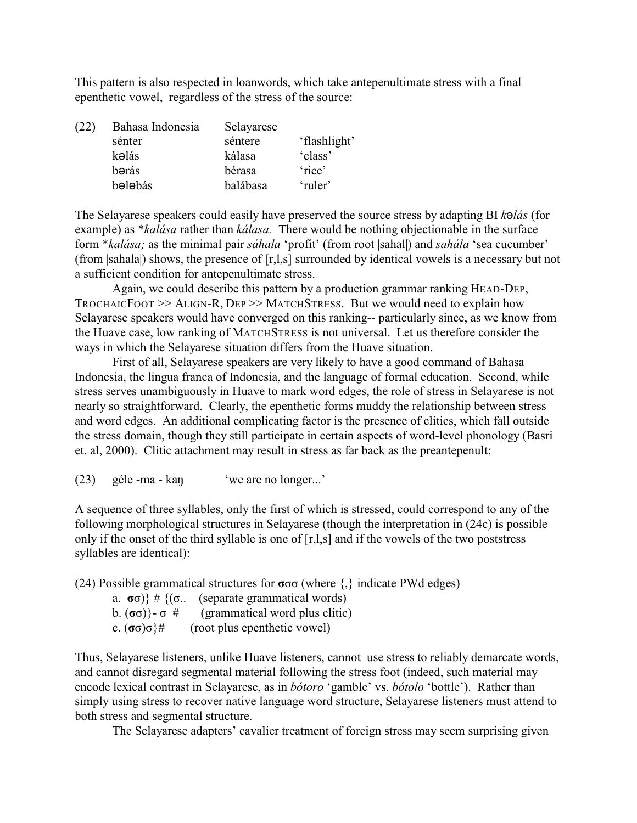This pattern is also respected in loanwords, which take antepenultimate stress with a final epenthetic vowel, regardless of the stress of the source:

| (22) | Bahasa Indonesia | Selayarese |              |
|------|------------------|------------|--------------|
|      | sénter           | séntere    | 'flashlight' |
|      | kəlás            | kálasa     | 'class'      |
|      | bərás            | bérasa     | 'rice'       |
|      | bələbás          | balábasa   | 'ruler'      |

The Selayarese speakers could easily have preserved the source stress by adapting BI *kclás* (for example) as \**kalása* rather than *kálasa.* There would be nothing objectionable in the surface form \**kalása;* as the minimal pair *sáhala* 'profit' (from root |sahal|) and *sahála* 'sea cucumber' (from |sahala|) shows, the presence of [r,l,s] surrounded by identical vowels is a necessary but not a sufficient condition for antepenultimate stress.

Again, we could describe this pattern by a production grammar ranking HEAD-DEP, TROCHAICFOOT >> ALIGN-R, DEP >> MATCHSTRESS. But we would need to explain how Selayarese speakers would have converged on this ranking-- particularly since, as we know from the Huave case, low ranking of MATCHSTRESS is not universal. Let us therefore consider the ways in which the Selayarese situation differs from the Huave situation.

First of all, Selayarese speakers are very likely to have a good command of Bahasa Indonesia, the lingua franca of Indonesia, and the language of formal education. Second, while stress serves unambiguously in Huave to mark word edges, the role of stress in Selayarese is not nearly so straightforward. Clearly, the epenthetic forms muddy the relationship between stress and word edges. An additional complicating factor is the presence of clitics, which fall outside the stress domain, though they still participate in certain aspects of word-level phonology (Basri et. al, 2000). Clitic attachment may result in stress as far back as the preantepenult:

 $(23)$  géle -ma - kan 'we are no longer...'

A sequence of three syllables, only the first of which is stressed, could correspond to any of the following morphological structures in Selayarese (though the interpretation in (24c) is possible only if the onset of the third syllable is one of [r,l,s] and if the vowels of the two poststress syllables are identical):

(24) Possible grammatical structures for  $\sigma \sigma$  (where  $\{\}$ ) indicate PWd edges)

|                                    | a. $\sigma\sigma$ )} # {( $\sigma$ . (separate grammatical words) |
|------------------------------------|-------------------------------------------------------------------|
| b. $(\sigma \sigma)$ }- $\sigma$ # | (grammatical word plus clitic)                                    |

c.  $(\sigma \sigma) \sigma$ }# (root plus epenthetic vowel)

Thus, Selayarese listeners, unlike Huave listeners, cannot use stress to reliably demarcate words, and cannot disregard segmental material following the stress foot (indeed, such material may encode lexical contrast in Selayarese, as in *bótoro* 'gamble' vs. *bótolo* 'bottle'). Rather than simply using stress to recover native language word structure, Selayarese listeners must attend to both stress and segmental structure.

The Selayarese adapters' cavalier treatment of foreign stress may seem surprising given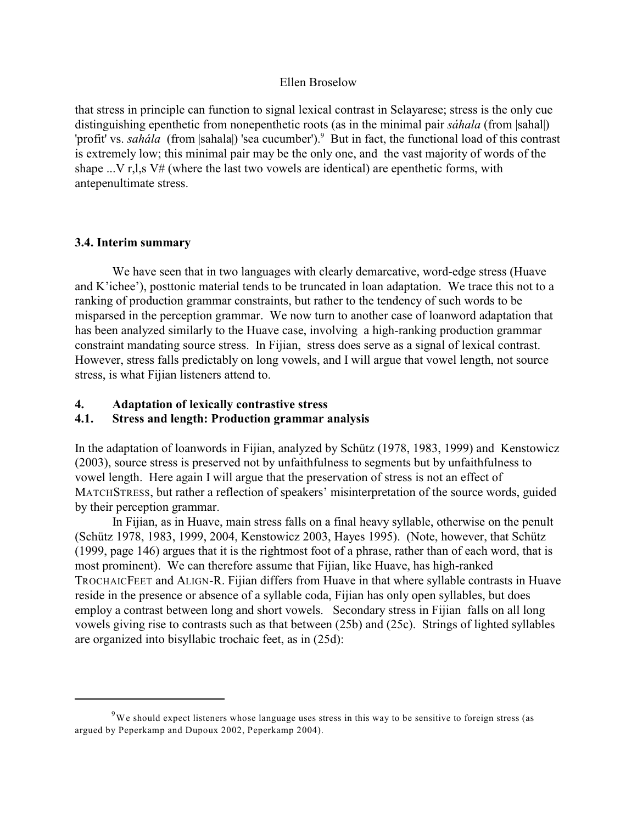that stress in principle can function to signal lexical contrast in Selayarese; stress is the only cue distinguishing epenthetic from nonepenthetic roots (as in the minimal pair *sáhala* (from |sahal|) 'profit' vs. *sahála* (from |sahala|) 'sea cucumber').<sup>9</sup> But in fact, the functional load of this contrast is extremely low; this minimal pair may be the only one, and the vast majority of words of the shape ...V r,l,s V# (where the last two vowels are identical) are epenthetic forms, with antepenultimate stress.

## **3.4. Interim summary**

We have seen that in two languages with clearly demarcative, word-edge stress (Huave and K'ichee'), posttonic material tends to be truncated in loan adaptation. We trace this not to a ranking of production grammar constraints, but rather to the tendency of such words to be misparsed in the perception grammar. We now turn to another case of loanword adaptation that has been analyzed similarly to the Huave case, involving a high-ranking production grammar constraint mandating source stress. In Fijian, stress does serve as a signal of lexical contrast. However, stress falls predictably on long vowels, and I will argue that vowel length, not source stress, is what Fijian listeners attend to.

## **4. Adaptation of lexically contrastive stress**

# **4.1. Stress and length: Production grammar analysis**

In the adaptation of loanwords in Fijian, analyzed by Schütz (1978, 1983, 1999) and Kenstowicz (2003), source stress is preserved not by unfaithfulness to segments but by unfaithfulness to vowel length. Here again I will argue that the preservation of stress is not an effect of MATCHSTRESS, but rather a reflection of speakers' misinterpretation of the source words, guided by their perception grammar.

In Fijian, as in Huave, main stress falls on a final heavy syllable, otherwise on the penult (Schütz 1978, 1983, 1999, 2004, Kenstowicz 2003, Hayes 1995). (Note, however, that Schütz (1999, page 146) argues that it is the rightmost foot of a phrase, rather than of each word, that is most prominent). We can therefore assume that Fijian, like Huave, has high-ranked TROCHAICFEET and ALIGN-R. Fijian differs from Huave in that where syllable contrasts in Huave reside in the presence or absence of a syllable coda, Fijian has only open syllables, but does employ a contrast between long and short vowels. Secondary stress in Fijian falls on all long vowels giving rise to contrasts such as that between (25b) and (25c). Strings of lighted syllables are organized into bisyllabic trochaic feet, as in (25d):

 $^{9}$ We should expect listeners whose language uses stress in this way to be sensitive to foreign stress (as argued by Peperkamp and Dupoux 2002, Peperkamp 2004).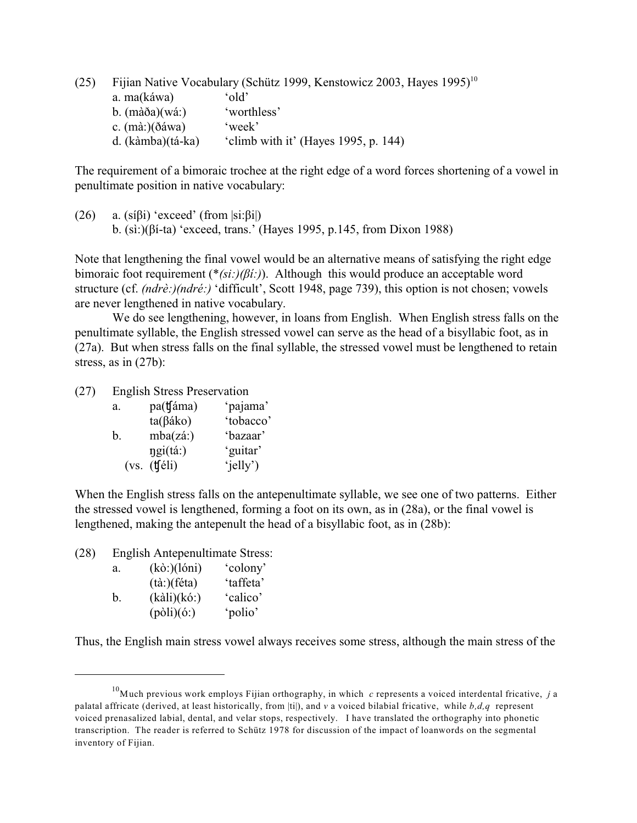| (25) |                                        | Fijian Native Vocabulary (Schütz 1999, Kenstowicz 2003, Hayes 1995) <sup>10</sup> |
|------|----------------------------------------|-----------------------------------------------------------------------------------|
|      | a. ma(káwa)                            | 'old'                                                                             |
|      | $b.$ (màða)(wá:)                       | 'worthless'                                                                       |
|      | c. $(m\dot{a})$ $(\delta \acute{a}wa)$ | 'week'                                                                            |
|      | d. (kàmba)(tá-ka)                      | 'climb with it' (Hayes 1995, p. 144)                                              |

The requirement of a bimoraic trochee at the right edge of a word forces shortening of a vowel in penultimate position in native vocabulary:

(26) a.  $(sif\beta i)$  'exceed' (from  $|si:Bi|$ )

b. (sì:)(âí-ta) 'exceed, trans.' (Hayes 1995, p.145, from Dixon 1988)

Note that lengthening the final vowel would be an alternative means of satisfying the right edge bimoraic foot requirement (\**(si:)(* $\beta$ *i:)*). Although this would produce an acceptable word structure (cf. *(ndrè:)(ndré:)* 'difficult', Scott 1948, page 739), this option is not chosen; vowels are never lengthened in native vocabulary.

We do see lengthening, however, in loans from English. When English stress falls on the penultimate syllable, the English stressed vowel can serve as the head of a bisyllabic foot, as in (27a). But when stress falls on the final syllable, the stressed vowel must be lengthened to retain stress, as in (27b):

(27) English Stress Preservation

| a. | pa(t[áma)       | 'pajama'  |
|----|-----------------|-----------|
|    | $ta(\beta$ áko) | 'tobacco' |
| h. | mba(zá)         | 'bazaar'  |
|    | ngi(tá)         | 'guitar'  |
|    | (vs. (tfeli)    | 'jelly')  |

When the English stress falls on the antepenultimate syllable, we see one of two patterns. Either the stressed vowel is lengthened, forming a foot on its own, as in (28a), or the final vowel is lengthened, making the antepenult the head of a bisyllabic foot, as in (28b):

(28) English Antepenultimate Stress:

| a. | $(k\delta$ : $)(l\delta$ ni)      | 'colony'  |
|----|-----------------------------------|-----------|
|    | $(t\grave{a}$ : $)(f\acute{e}ta)$ | 'taffeta' |
| b. | $(k\text{ali})(k\text{o})$        | 'calico'  |
|    | (pòli)(6)                         | 'polio'   |

Thus, the English main stress vowel always receives some stress, although the main stress of the

Much previous work employs Fijian orthography, in which *c* represents a voiced interdental fricative, *j* a 10 palatal affricate (derived, at least historically, from |ti|), and *v* a voiced bilabial fricative, while *b,d,q* represent voiced prenasalized labial, dental, and velar stops, respectively. I have translated the orthography into phonetic transcription. The reader is referred to Schütz 1978 for discussion of the impact of loanwords on the segmental inventory of Fijian.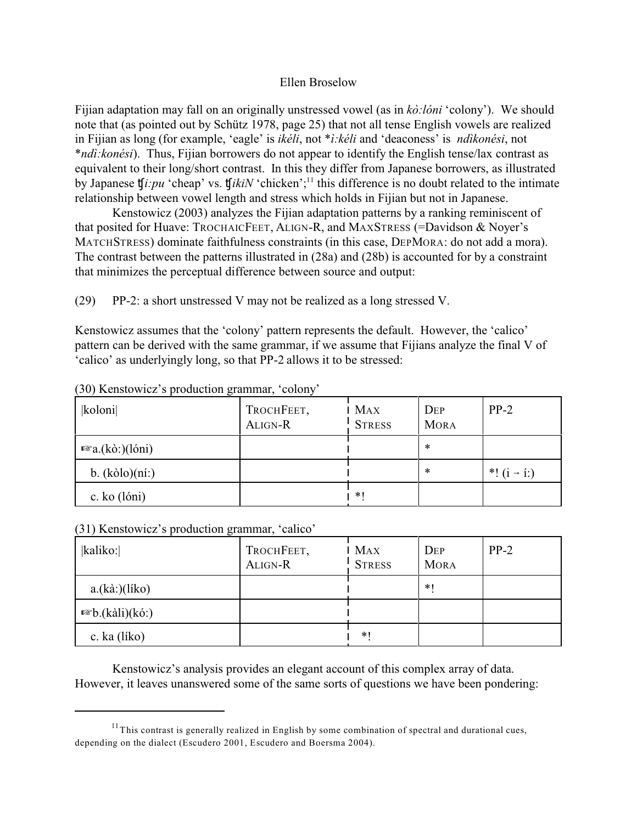Fijian adaptation may fall on an originally unstressed vowel (as in *kò:lóni* 'colony'). We should note that (as pointed out by Schütz 1978, page 25) that not all tense English vowels are realized in Fijian as long (for example, 'eagle' is *ikéli*, not \**ì:kéli* and 'deaconess' is *ndìkonési*, not \**ndì:konési*). Thus, Fijian borrowers do not appear to identify the English tense/lax contrast as equivalent to their long/short contrast. In this they differ from Japanese borrowers, as illustrated by Japanese  $\oint \hat{i}:pu$  'cheap' vs.  $\oint \hat{i}k$  'chicken';<sup>11</sup> this difference is no doubt related to the intimate relationship between vowel length and stress which holds in Fijian but not in Japanese.

Kenstowicz (2003) analyzes the Fijian adaptation patterns by a ranking reminiscent of that posited for Huave: TROCHAICFEET, ALIGN-R, and MAXSTRESS (=Davidson & Noyer's MATCHSTRESS) dominate faithfulness constraints (in this case, DEPMORA: do not add a mora). The contrast between the patterns illustrated in (28a) and (28b) is accounted for by a constraint that minimizes the perceptual difference between source and output:

(29) PP-2: a short unstressed V may not be realized as a long stressed V.

Kenstowicz assumes that the 'colony' pattern represents the default. However, the 'calico' pattern can be derived with the same grammar, if we assume that Fijians analyze the final V of 'calico' as underlyingly long, so that PP-2 allows it to be stressed:

| koloni                       | TROCHFEET,<br>ALIGN-R | I MAX<br><b>STRESS</b> | DEP<br><b>MORA</b> | $PP-2$                   |
|------------------------------|-----------------------|------------------------|--------------------|--------------------------|
| $\blacksquare$ a.(kò:)(lóni) |                       |                        | $\ast$             |                          |
| b. (kòlo)(ni.)               |                       |                        | $\ast$             | *! $(i \rightarrow i$ :) |
| c. ko (lóni)                 |                       | $*$                    |                    |                          |

(30) Kenstowicz's production grammar, 'colony'

| (31) Kenstowicz's production grammar, 'calico' |  |
|------------------------------------------------|--|
|------------------------------------------------|--|

| kaliko:                          | TROCHFEET,<br>ALIGN-R | <b>I</b> MAX<br><b>STRESS</b> | DEP<br><b>MORA</b> | $PP-2$ |
|----------------------------------|-----------------------|-------------------------------|--------------------|--------|
| $a.(k\dot{a}.)$ (líko)           |                       |                               | $*1$               |        |
| $\n  Example 1 (k\acute{o}: )\n$ |                       |                               |                    |        |
| c. ka (líko)                     |                       | $*1$                          |                    |        |

Kenstowicz's analysis provides an elegant account of this complex array of data. However, it leaves unanswered some of the same sorts of questions we have been pondering:

 $11$ This contrast is generally realized in English by some combination of spectral and durational cues, depending on the dialect (Escudero 2001, Escudero and Boersma 2004).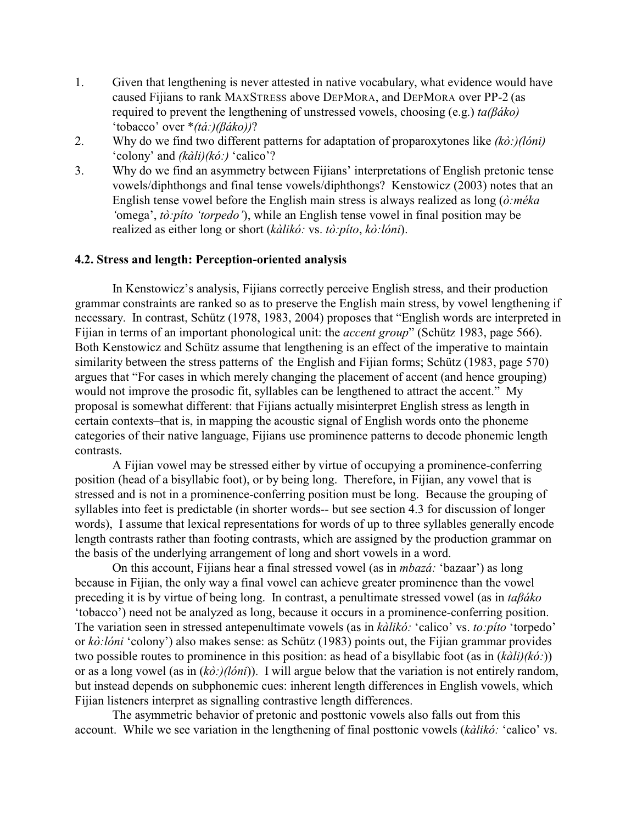- 1. Given that lengthening is never attested in native vocabulary, what evidence would have caused Fijians to rank MAXSTRESS above DEPMORA, and DEPMORA over PP-2 (as required to prevent the lengthening of unstressed vowels, choosing (e.g.) *ta(âáko)* 'tobacco' over \**(tá:)(âáko))*?
- 2. Why do we find two different patterns for adaptation of proparoxytones like *(kò:)(lóni)* 'colony' and *(kàli)(kó:)* 'calico'?
- 3. Why do we find an asymmetry between Fijians' interpretations of English pretonic tense vowels/diphthongs and final tense vowels/diphthongs? Kenstowicz (2003) notes that an English tense vowel before the English main stress is always realized as long (*ò:méka '*omega', *tò:píto 'torpedo'*), while an English tense vowel in final position may be realized as either long or short (*kàlikó:* vs. *tò:píto*, *kò:lóni*).

## **4.2. Stress and length: Perception-oriented analysis**

In Kenstowicz's analysis, Fijians correctly perceive English stress, and their production grammar constraints are ranked so as to preserve the English main stress, by vowel lengthening if necessary. In contrast, Schütz (1978, 1983, 2004) proposes that "English words are interpreted in Fijian in terms of an important phonological unit: the *accent group*" (Schütz 1983, page 566). Both Kenstowicz and Schütz assume that lengthening is an effect of the imperative to maintain similarity between the stress patterns of the English and Fijian forms; Schütz (1983, page 570) argues that "For cases in which merely changing the placement of accent (and hence grouping) would not improve the prosodic fit, syllables can be lengthened to attract the accent." My proposal is somewhat different: that Fijians actually misinterpret English stress as length in certain contexts–that is, in mapping the acoustic signal of English words onto the phoneme categories of their native language, Fijians use prominence patterns to decode phonemic length contrasts.

A Fijian vowel may be stressed either by virtue of occupying a prominence-conferring position (head of a bisyllabic foot), or by being long. Therefore, in Fijian, any vowel that is stressed and is not in a prominence-conferring position must be long. Because the grouping of syllables into feet is predictable (in shorter words-- but see section 4.3 for discussion of longer words), I assume that lexical representations for words of up to three syllables generally encode length contrasts rather than footing contrasts, which are assigned by the production grammar on the basis of the underlying arrangement of long and short vowels in a word.

On this account, Fijians hear a final stressed vowel (as in *mbazá:* 'bazaar') as long because in Fijian, the only way a final vowel can achieve greater prominence than the vowel preceding it is by virtue of being long. In contrast, a penultimate stressed vowel (as in *taâáko* 'tobacco') need not be analyzed as long, because it occurs in a prominence-conferring position. The variation seen in stressed antepenultimate vowels (as in *kàlikó:* 'calico' vs. *to:píto* 'torpedo' or *kò:lóni* 'colony') also makes sense: as Schütz (1983) points out, the Fijian grammar provides two possible routes to prominence in this position: as head of a bisyllabic foot (as in (*kàli)(kó:*)) or as a long vowel (as in (*kò:)(lóni*)). I will argue below that the variation is not entirely random, but instead depends on subphonemic cues: inherent length differences in English vowels, which Fijian listeners interpret as signalling contrastive length differences.

The asymmetric behavior of pretonic and posttonic vowels also falls out from this account. While we see variation in the lengthening of final posttonic vowels (*kàlikó:* 'calico' vs.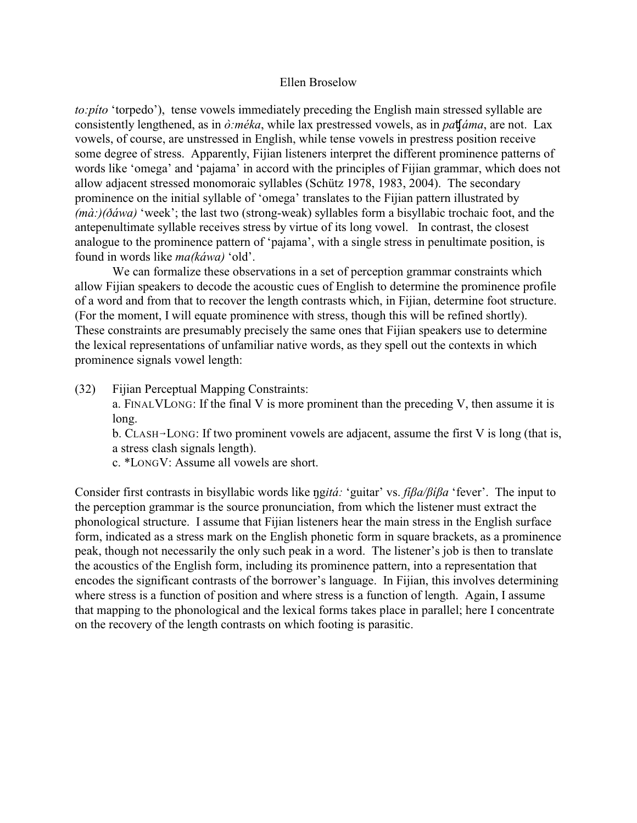*to:píto* 'torpedo'), tense vowels immediately preceding the English main stressed syllable are consistently lengthened, as in *ò:méka*, while lax prestressed vowels, as in *pa±áma*, are not. Lax vowels, of course, are unstressed in English, while tense vowels in prestress position receive some degree of stress. Apparently, Fijian listeners interpret the different prominence patterns of words like 'omega' and 'pajama' in accord with the principles of Fijian grammar, which does not allow adjacent stressed monomoraic syllables (Schütz 1978, 1983, 2004). The secondary prominence on the initial syllable of 'omega' translates to the Fijian pattern illustrated by *(mà:)(ðáwa)* 'week'; the last two (strong-weak) syllables form a bisyllabic trochaic foot, and the antepenultimate syllable receives stress by virtue of its long vowel. In contrast, the closest analogue to the prominence pattern of 'pajama', with a single stress in penultimate position, is found in words like *ma(káwa)* 'old'.

We can formalize these observations in a set of perception grammar constraints which allow Fijian speakers to decode the acoustic cues of English to determine the prominence profile of a word and from that to recover the length contrasts which, in Fijian, determine foot structure. (For the moment, I will equate prominence with stress, though this will be refined shortly). These constraints are presumably precisely the same ones that Fijian speakers use to determine the lexical representations of unfamiliar native words, as they spell out the contexts in which prominence signals vowel length:

(32) Fijian Perceptual Mapping Constraints:

a. FINALVLONG: If the final V is more prominent than the preceding V, then assume it is long.

b. CLASH $\rightarrow$ LONG: If two prominent vowels are adjacent, assume the first V is long (that is, a stress clash signals length).

c. \*LONGV: Assume all vowels are short.

Consider first contrasts in bisyllabic words like *ngitá:* 'guitar' vs. *fißa/βißa* 'fever'. The input to the perception grammar is the source pronunciation, from which the listener must extract the phonological structure. I assume that Fijian listeners hear the main stress in the English surface form, indicated as a stress mark on the English phonetic form in square brackets, as a prominence peak, though not necessarily the only such peak in a word. The listener's job is then to translate the acoustics of the English form, including its prominence pattern, into a representation that encodes the significant contrasts of the borrower's language. In Fijian, this involves determining where stress is a function of position and where stress is a function of length. Again, I assume that mapping to the phonological and the lexical forms takes place in parallel; here I concentrate on the recovery of the length contrasts on which footing is parasitic.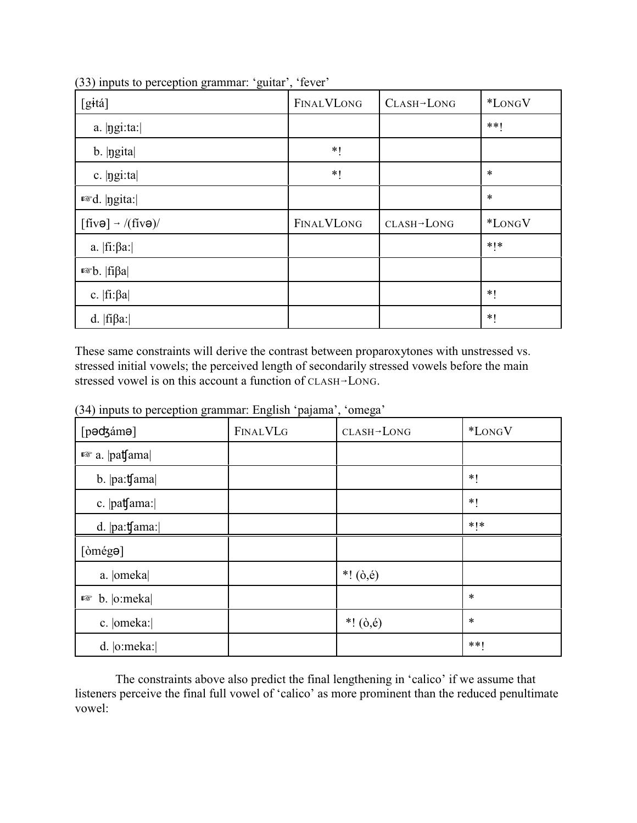| [g <sup>†</sup> tá]                       | FINALVLONG | $CLASH \rightarrow LONG$ | *LONGV |
|-------------------------------------------|------------|--------------------------|--------|
| $a.$   ngi:ta:                            |            |                          | $***$  |
| $b.$  ngita                               | $*!$       |                          |        |
| c.  ngi:ta                                | $*!$       |                          | $\ast$ |
| $\mathbb{R}$ d.  ngita:                   |            |                          | $\ast$ |
| $[\text{five}]\rightarrow/(\text{five})/$ | FINALVLONG | $CLASH \rightarrow LONG$ | *LONGV |
| a. $ fi:\beta a: $                        |            |                          | $*!*$  |
| $\n  exp.\n   f \hat{i} $                 |            |                          |        |
| c. $ fi:\beta a $                         |            |                          | $*!$   |
| d. $ f\mathbf{i}\beta a$ :                |            |                          | $*1$   |

(33) inputs to perception grammar: 'guitar', 'fever'

These same constraints will derive the contrast between proparoxytones with unstressed vs. stressed initial vowels; the perceived length of secondarily stressed vowels before the main stressed vowel is on this account a function of CLASH-LONG.

| [pədzámə]                  | FINALVLG | $CLASH \rightarrow LONG$ | *LONGV  |
|----------------------------|----------|--------------------------|---------|
| <sup>18</sup> a.  pat fama |          |                          |         |
| b. pa: fama                |          |                          | $*!$    |
| c.  patfama:               |          |                          | $*1$    |
| d.  pa:tfama:              |          |                          | $*!*$   |
| [òmég <b>ə</b> ]           |          |                          |         |
| a.  omeka                  |          | *! $(\dot{o}, \dot{e})$  |         |
| <sup>18</sup> b. o:meka    |          |                          | $\ast$  |
| c.  omeka:                 |          | *! $(\dot{o}, \dot{e})$  | $\ast$  |
| d.  o:meka:                |          |                          | $* * 1$ |

(34) inputs to perception grammar: English 'pajama', 'omega'

 The constraints above also predict the final lengthening in 'calico' if we assume that listeners perceive the final full vowel of 'calico' as more prominent than the reduced penultimate vowel: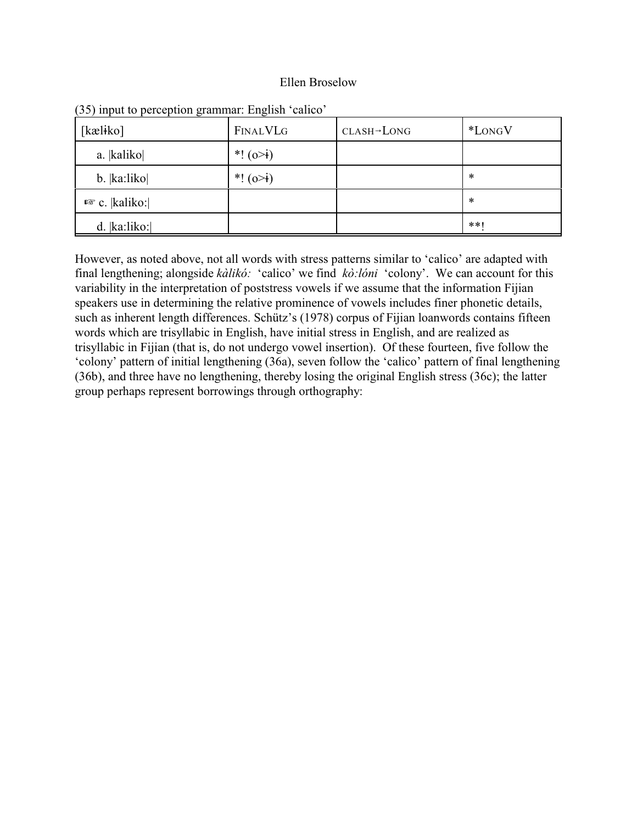| [kæliko]                 | FINALVLG     | $CLASH \rightarrow LONG$ | $*$ LONGV |
|--------------------------|--------------|--------------------------|-----------|
| a. kaliko                | *! $(o > i)$ |                          |           |
| b. ka:liko               | *! $(o > i)$ |                          | $\ast$    |
| $\mathbb{R}$ c.  kaliko: |              |                          | ∗         |
| d. ka:liko:              |              |                          | $**1$     |

(35) input to perception grammar: English 'calico'

However, as noted above, not all words with stress patterns similar to 'calico' are adapted with final lengthening; alongside *kàlikó:* 'calico' we find *kò:lóni* 'colony'. We can account for this variability in the interpretation of poststress vowels if we assume that the information Fijian speakers use in determining the relative prominence of vowels includes finer phonetic details, such as inherent length differences. Schütz's (1978) corpus of Fijian loanwords contains fifteen words which are trisyllabic in English, have initial stress in English, and are realized as trisyllabic in Fijian (that is, do not undergo vowel insertion). Of these fourteen, five follow the 'colony' pattern of initial lengthening (36a), seven follow the 'calico' pattern of final lengthening (36b), and three have no lengthening, thereby losing the original English stress (36c); the latter group perhaps represent borrowings through orthography: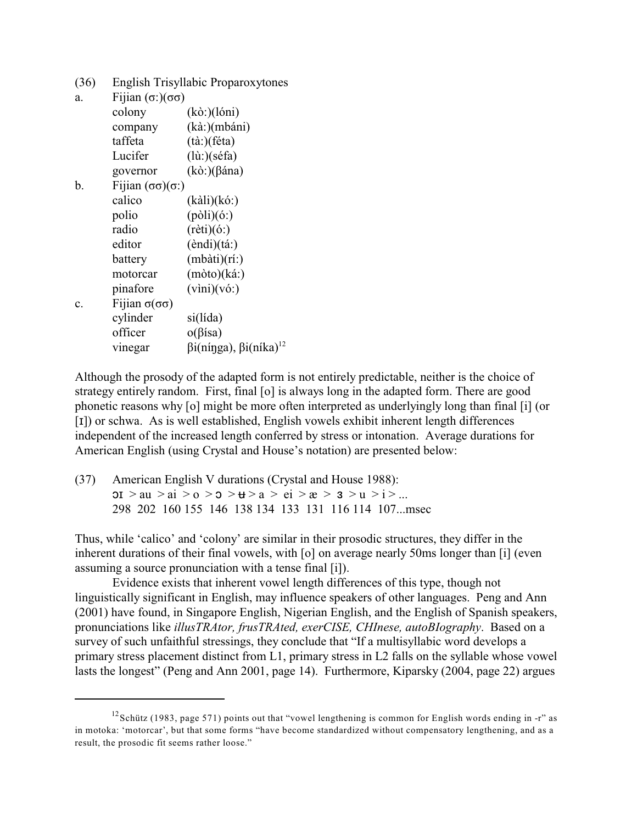| (36) |  | English Trisyllabic Proparoxytones |
|------|--|------------------------------------|
|      |  |                                    |

| a. | Fijian (σ:)(σσ)   |                                                 |
|----|-------------------|-------------------------------------------------|
|    | colony            | $(k\delta$ : $)(l\delta$ ni)                    |
|    | company           | (kà:)(mbáni)                                    |
|    | taffeta           | $(t\grave{a}$ :)(féta)                          |
|    | Lucifer           | $(l\dot{u})$ (séfa)                             |
|    | governor          | $(k\delta)$ ( $\beta$ ána)                      |
| b. | Fijian $(σσ)(σ:)$ |                                                 |
|    | calico            | (kàli)(kó:)                                     |
|    | polio             | (pòli)(6)                                       |
|    | radio             | (rèti)(6:)                                      |
|    | editor            | $(e^n, id)$                                     |
|    | battery           | (mbàti)(ri:)                                    |
|    | motorcar          | (moto)(ká)                                      |
|    | pinafore          | (vini)(v6)                                      |
| c. | Fijian σ(σσ)      |                                                 |
|    | cylinder          | si(lída)                                        |
|    | officer           | $o(\beta$ isa)                                  |
|    | vinegar           | $\beta$ i(nínga), $\beta$ i(níka) <sup>12</sup> |

Although the prosody of the adapted form is not entirely predictable, neither is the choice of strategy entirely random. First, final [o] is always long in the adapted form. There are good phonetic reasons why [o] might be more often interpreted as underlyingly long than final [i] (or [I]) or schwa. As is well established, English vowels exhibit inherent length differences independent of the increased length conferred by stress or intonation. Average durations for American English (using Crystal and House's notation) are presented below:

| (37) American English V durations (Crystal and House 1988): |
|-------------------------------------------------------------|
| $2I > au > ai > o > 2 > u > a > ei > x > 3 > u > i > $      |
| 298 202 160 155 146 138 134 133 131 116 114 107msec         |

Thus, while 'calico' and 'colony' are similar in their prosodic structures, they differ in the inherent durations of their final vowels, with [o] on average nearly 50ms longer than [i] (even assuming a source pronunciation with a tense final [i]).

Evidence exists that inherent vowel length differences of this type, though not linguistically significant in English, may influence speakers of other languages. Peng and Ann (2001) have found, in Singapore English, Nigerian English, and the English of Spanish speakers, pronunciations like *illusTRAtor, frusTRAted, exerCISE, CHInese, autoBIography*. Based on a survey of such unfaithful stressings, they conclude that "If a multisyllabic word develops a primary stress placement distinct from L1, primary stress in L2 falls on the syllable whose vowel lasts the longest" (Peng and Ann 2001, page 14). Furthermore, Kiparsky (2004, page 22) argues

 $^{12}$ Schütz (1983, page 571) points out that "vowel lengthening is common for English words ending in -r" as in motoka: 'motorcar', but that some forms "have become standardized without compensatory lengthening, and as a result, the prosodic fit seems rather loose."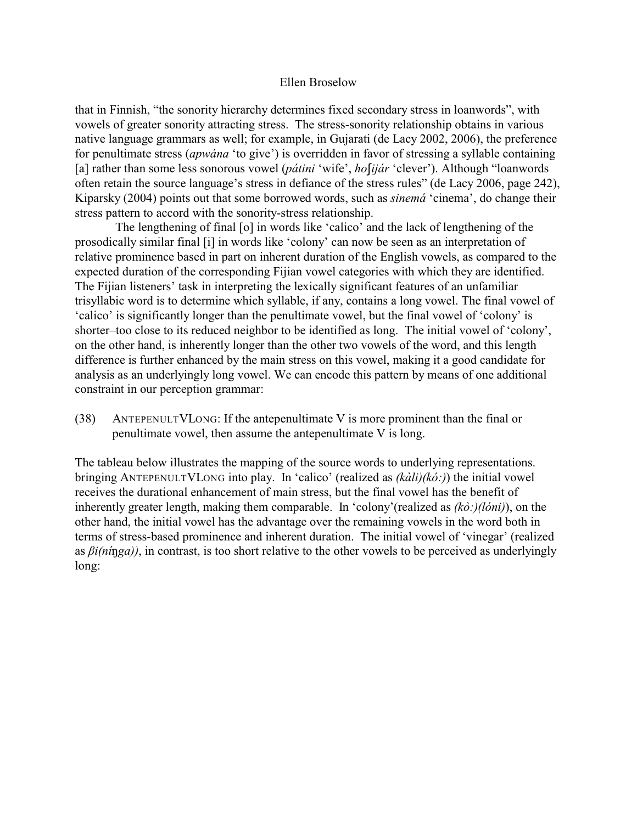that in Finnish, "the sonority hierarchy determines fixed secondary stress in loanwords", with vowels of greater sonority attracting stress. The stress-sonority relationship obtains in various native language grammars as well; for example, in Gujarati (de Lacy 2002, 2006), the preference for penultimate stress (*apwána* 'to give') is overridden in favor of stressing a syllable containing [a] rather than some less sonorous vowel (*pátini* 'wife', *hoijár* 'clever'). Although "loanwords often retain the source language's stress in defiance of the stress rules" (de Lacy 2006, page 242), Kiparsky (2004) points out that some borrowed words, such as *sinemá* 'cinema', do change their stress pattern to accord with the sonority-stress relationship.

 The lengthening of final [o] in words like 'calico' and the lack of lengthening of the prosodically similar final [i] in words like 'colony' can now be seen as an interpretation of relative prominence based in part on inherent duration of the English vowels, as compared to the expected duration of the corresponding Fijian vowel categories with which they are identified. The Fijian listeners' task in interpreting the lexically significant features of an unfamiliar trisyllabic word is to determine which syllable, if any, contains a long vowel. The final vowel of 'calico' is significantly longer than the penultimate vowel, but the final vowel of 'colony' is shorter–too close to its reduced neighbor to be identified as long. The initial vowel of 'colony', on the other hand, is inherently longer than the other two vowels of the word, and this length difference is further enhanced by the main stress on this vowel, making it a good candidate for analysis as an underlyingly long vowel. We can encode this pattern by means of one additional constraint in our perception grammar:

(38) ANTEPENULTVLONG: If the antepenultimate V is more prominent than the final or penultimate vowel, then assume the antepenultimate V is long.

The tableau below illustrates the mapping of the source words to underlying representations. bringing ANTEPENULTVLONG into play. In 'calico' (realized as *(kàli)(kó:)*) the initial vowel receives the durational enhancement of main stress, but the final vowel has the benefit of inherently greater length, making them comparable. In 'colony'(realized as *(kò:)(lóni)*), on the other hand, the initial vowel has the advantage over the remaining vowels in the word both in terms of stress-based prominence and inherent duration. The initial vowel of 'vinegar' (realized as *âi(níõga))*, in contrast, is too short relative to the other vowels to be perceived as underlyingly long: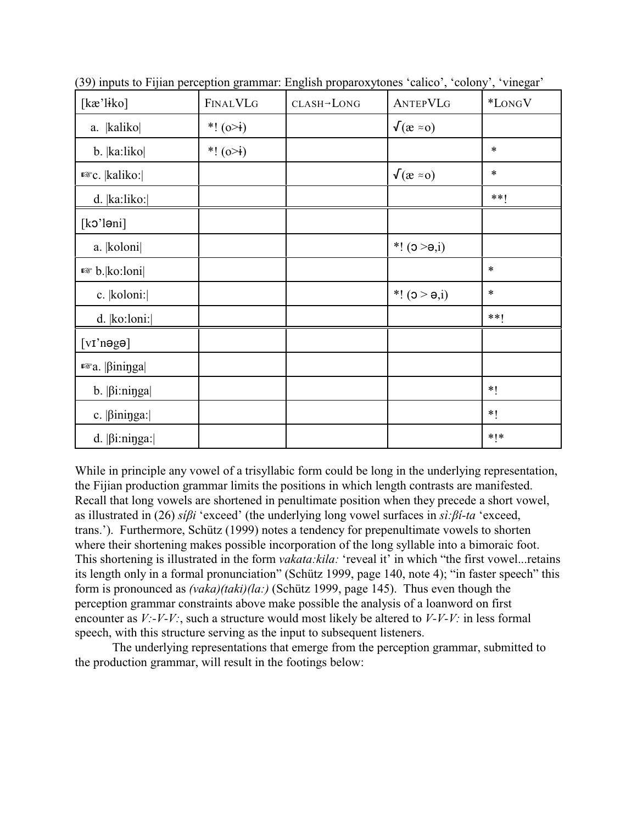| $[kæ']$ $iko]$                           | FINALVLG     | $CLASH \rightarrow LONG$ | ANTEPVLG                     | *LongV    |
|------------------------------------------|--------------|--------------------------|------------------------------|-----------|
| a.  kaliko                               | *! $(o > i)$ |                          | $\sqrt{x}$ $\approx$ 0)      |           |
| b. ka:liko                               | *! $(o > i)$ |                          |                              | $\ast$    |
| ¤®c.  kaliko:                            |              |                          | $\sqrt{x}$ ( $x \approx 0$ ) | $\ast$    |
| d.  ka:liko:                             |              |                          |                              | $***!$    |
| $[k$ c'ləni]                             |              |                          |                              |           |
| a. koloni                                |              |                          | *! $(0 > \theta, i)$         |           |
| <sup>¤</sup> b. ko:loni                  |              |                          |                              | $\ast$    |
| c.   koloni:                             |              |                          | *! $(0 > \theta, i)$         | $\ast$    |
| d. ko:loni:                              |              |                          |                              | $***!$    |
| $[vI'ng\Theta]$                          |              |                          |                              |           |
| $\sqrt{a}$ . $\left \beta\right $ ininga |              |                          |                              |           |
| b. $ \beta$ <i>i</i> :ninga $ $          |              |                          |                              | $*!$      |
| c.  βininga:                             |              |                          |                              | $*!$      |
| d. $ \beta$ i:ninga: $ $                 |              |                          |                              | $*$   $*$ |

(39) inputs to Fijian perception grammar: English proparoxytones 'calico', 'colony', 'vinegar'

While in principle any vowel of a trisyllabic form could be long in the underlying representation, the Fijian production grammar limits the positions in which length contrasts are manifested. Recall that long vowels are shortened in penultimate position when they precede a short vowel, as illustrated in (26)  $s$ *i* $\beta$ *i* 'exceed' (the underlying long vowel surfaces in  $s$ *i*: $\beta$ *i*-ta 'exceed, trans.'). Furthermore, Schütz (1999) notes a tendency for prepenultimate vowels to shorten where their shortening makes possible incorporation of the long syllable into a bimoraic foot. This shortening is illustrated in the form *vakata:kila:* 'reveal it' in which "the first vowel...retains its length only in a formal pronunciation" (Schütz 1999, page 140, note 4); "in faster speech" this form is pronounced as *(vaka)(taki)(la:)* (Schütz 1999, page 145). Thus even though the perception grammar constraints above make possible the analysis of a loanword on first encounter as *V:-V-V:*, such a structure would most likely be altered to *V-V-V:* in less formal speech, with this structure serving as the input to subsequent listeners.

The underlying representations that emerge from the perception grammar, submitted to the production grammar, will result in the footings below: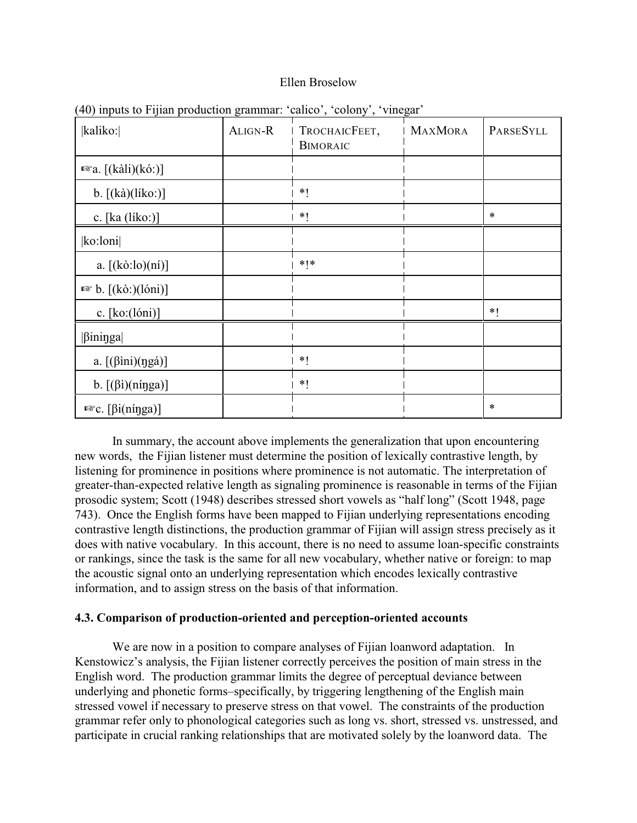| kaliko:                                    | ALIGN-R | TROCHAICFEET,<br><b>BIMORAIC</b> | <b>MAXMORA</b> | PARSESYLL |
|--------------------------------------------|---------|----------------------------------|----------------|-----------|
| $\mathbb{R}$ a. [(kàli)(kó:)]              |         |                                  |                |           |
| b. $[(k\grave{a})(l\acute{a}ko:)]$         |         | $*!$                             |                |           |
| c. [ka (líko:)]                            |         | $*!$                             |                | $\ast$    |
| ko:loni                                    |         |                                  |                |           |
| a. $[(k\delta:lo)(ni)]$                    |         | $*$   $*$                        |                |           |
| $\mathbb{R}$ b. $[(k\delta:)(l\delta ni)]$ |         |                                  |                |           |
| c. $[ko:(lóni)]$                           |         |                                  |                | $*!$      |
| $ \beta$ ininga                            |         |                                  |                |           |
| a. $[(\beta \text{ini})(\text{ngá})]$      |         | $*!$                             |                |           |
| b. $[(\beta i)(n inga)]$                   |         | $*!$                             |                |           |
| $\mathbb{F}$ c. [βi(níŋga)]                |         |                                  |                | $\ast$    |

|  |  | (40) inputs to Fijian production grammar: 'calico', 'colony', 'vinegar' |  |  |
|--|--|-------------------------------------------------------------------------|--|--|
|  |  |                                                                         |  |  |

In summary, the account above implements the generalization that upon encountering new words, the Fijian listener must determine the position of lexically contrastive length, by listening for prominence in positions where prominence is not automatic. The interpretation of greater-than-expected relative length as signaling prominence is reasonable in terms of the Fijian prosodic system; Scott (1948) describes stressed short vowels as "half long" (Scott 1948, page 743). Once the English forms have been mapped to Fijian underlying representations encoding contrastive length distinctions, the production grammar of Fijian will assign stress precisely as it does with native vocabulary. In this account, there is no need to assume loan-specific constraints or rankings, since the task is the same for all new vocabulary, whether native or foreign: to map the acoustic signal onto an underlying representation which encodes lexically contrastive information, and to assign stress on the basis of that information.

## **4.3. Comparison of production-oriented and perception-oriented accounts**

We are now in a position to compare analyses of Fijian loanword adaptation. In Kenstowicz's analysis, the Fijian listener correctly perceives the position of main stress in the English word. The production grammar limits the degree of perceptual deviance between underlying and phonetic forms–specifically, by triggering lengthening of the English main stressed vowel if necessary to preserve stress on that vowel. The constraints of the production grammar refer only to phonological categories such as long vs. short, stressed vs. unstressed, and participate in crucial ranking relationships that are motivated solely by the loanword data. The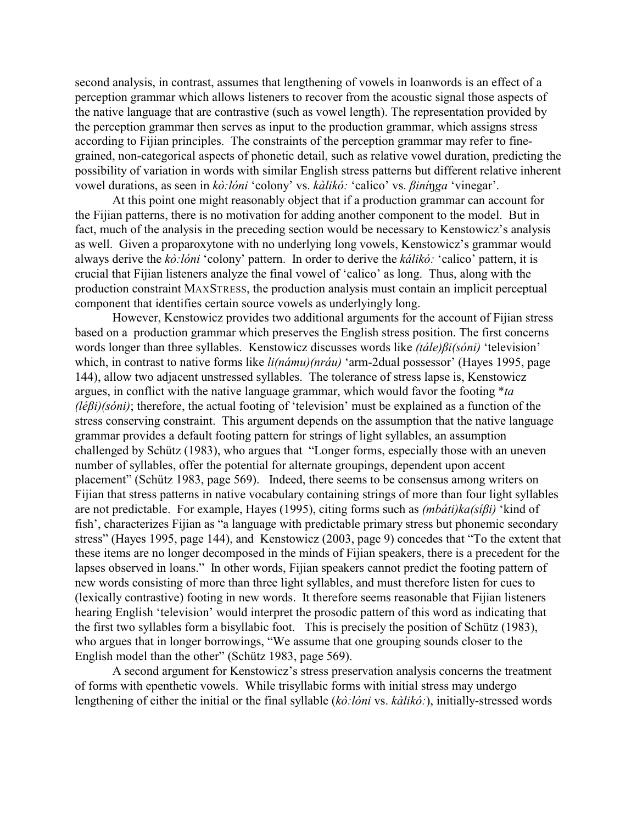second analysis, in contrast, assumes that lengthening of vowels in loanwords is an effect of a perception grammar which allows listeners to recover from the acoustic signal those aspects of the native language that are contrastive (such as vowel length). The representation provided by the perception grammar then serves as input to the production grammar, which assigns stress according to Fijian principles. The constraints of the perception grammar may refer to finegrained, non-categorical aspects of phonetic detail, such as relative vowel duration, predicting the possibility of variation in words with similar English stress patterns but different relative inherent vowel durations, as seen in *kò:lóni* 'colony' vs. *kàlikó:* 'calico' vs. *âiníõga* 'vinegar'.

At this point one might reasonably object that if a production grammar can account for the Fijian patterns, there is no motivation for adding another component to the model. But in fact, much of the analysis in the preceding section would be necessary to Kenstowicz's analysis as well. Given a proparoxytone with no underlying long vowels, Kenstowicz's grammar would always derive the *kò:lóni* 'colony' pattern. In order to derive the *kálikó:* 'calico' pattern, it is crucial that Fijian listeners analyze the final vowel of 'calico' as long. Thus, along with the production constraint MAXSTRESS, the production analysis must contain an implicit perceptual component that identifies certain source vowels as underlyingly long.

However, Kenstowicz provides two additional arguments for the account of Fijian stress based on a production grammar which preserves the English stress position. The first concerns words longer than three syllables. Kenstowicz discusses words like *(tále)âi(sóni)* 'television' which, in contrast to native forms like *li(námu)(nráu)* 'arm-2dual possessor' (Hayes 1995, page 144), allow two adjacent unstressed syllables. The tolerance of stress lapse is, Kenstowicz argues, in conflict with the native language grammar, which would favor the footing \**ta (léâi)(sóni)*; therefore, the actual footing of 'television' must be explained as a function of the stress conserving constraint. This argument depends on the assumption that the native language grammar provides a default footing pattern for strings of light syllables, an assumption challenged by Schütz (1983), who argues that "Longer forms, especially those with an uneven number of syllables, offer the potential for alternate groupings, dependent upon accent placement" (Schütz 1983, page 569). Indeed, there seems to be consensus among writers on Fijian that stress patterns in native vocabulary containing strings of more than four light syllables are not predictable. For example, Hayes (1995), citing forms such as *(mbáti)ka(síâi)* 'kind of fish', characterizes Fijian as "a language with predictable primary stress but phonemic secondary stress" (Hayes 1995, page 144), and Kenstowicz (2003, page 9) concedes that "To the extent that these items are no longer decomposed in the minds of Fijian speakers, there is a precedent for the lapses observed in loans." In other words, Fijian speakers cannot predict the footing pattern of new words consisting of more than three light syllables, and must therefore listen for cues to (lexically contrastive) footing in new words. It therefore seems reasonable that Fijian listeners hearing English 'television' would interpret the prosodic pattern of this word as indicating that the first two syllables form a bisyllabic foot. This is precisely the position of Schütz (1983), who argues that in longer borrowings, "We assume that one grouping sounds closer to the English model than the other" (Schütz 1983, page 569).

A second argument for Kenstowicz's stress preservation analysis concerns the treatment of forms with epenthetic vowels. While trisyllabic forms with initial stress may undergo lengthening of either the initial or the final syllable (*kò:lóni* vs. *kàlikó:*), initially-stressed words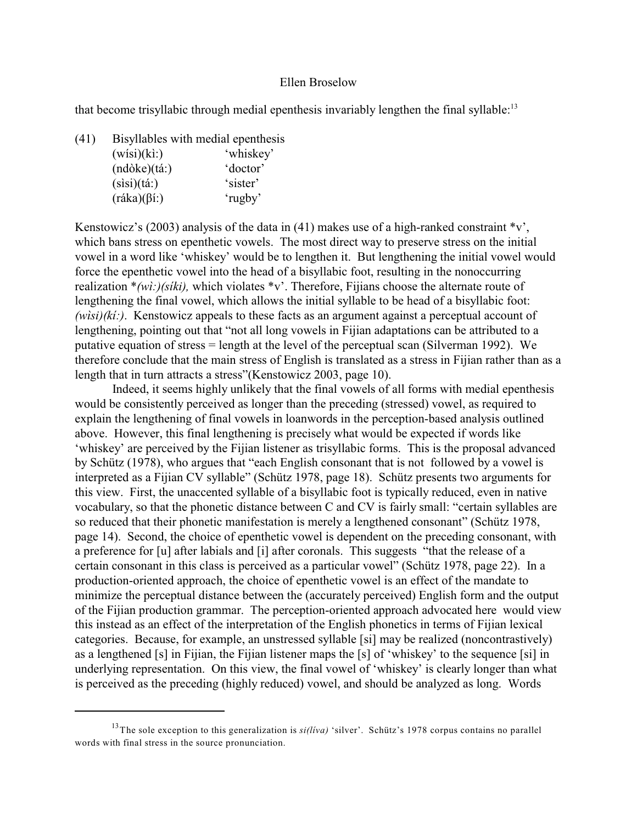that become trisyllabic through medial epenthesis invariably lengthen the final syllable:<sup>13</sup>

(41) Bisyllables with medial epenthesis  $(wisi)(ki:)$  'whiskey'<br>(ndòke)(tá·) 'doctor'  $(ndòke)(\text{tá:})$ (sìsi)(tá:) 'sister'  $(ráka)(\beta i:)$  'rugby'

Kenstowicz's (2003) analysis of the data in (41) makes use of a high-ranked constraint \*v', which bans stress on epenthetic vowels. The most direct way to preserve stress on the initial vowel in a word like 'whiskey' would be to lengthen it. But lengthening the initial vowel would force the epenthetic vowel into the head of a bisyllabic foot, resulting in the nonoccurring realization \**(wì:)(síki),* which violates \*v'. Therefore, Fijians choose the alternate route of lengthening the final vowel, which allows the initial syllable to be head of a bisyllabic foot: *(wìsi)(kí:)*. Kenstowicz appeals to these facts as an argument against a perceptual account of lengthening, pointing out that "not all long vowels in Fijian adaptations can be attributed to a putative equation of stress = length at the level of the perceptual scan (Silverman 1992). We therefore conclude that the main stress of English is translated as a stress in Fijian rather than as a length that in turn attracts a stress"(Kenstowicz 2003, page 10).

Indeed, it seems highly unlikely that the final vowels of all forms with medial epenthesis would be consistently perceived as longer than the preceding (stressed) vowel, as required to explain the lengthening of final vowels in loanwords in the perception-based analysis outlined above. However, this final lengthening is precisely what would be expected if words like 'whiskey' are perceived by the Fijian listener as trisyllabic forms. This is the proposal advanced by Schütz (1978), who argues that "each English consonant that is not followed by a vowel is interpreted as a Fijian CV syllable" (Schütz 1978, page 18). Schütz presents two arguments for this view. First, the unaccented syllable of a bisyllabic foot is typically reduced, even in native vocabulary, so that the phonetic distance between C and CV is fairly small: "certain syllables are so reduced that their phonetic manifestation is merely a lengthened consonant" (Schütz 1978, page 14). Second, the choice of epenthetic vowel is dependent on the preceding consonant, with a preference for [u] after labials and [i] after coronals. This suggests "that the release of a certain consonant in this class is perceived as a particular vowel" (Schütz 1978, page 22). In a production-oriented approach, the choice of epenthetic vowel is an effect of the mandate to minimize the perceptual distance between the (accurately perceived) English form and the output of the Fijian production grammar. The perception-oriented approach advocated here would view this instead as an effect of the interpretation of the English phonetics in terms of Fijian lexical categories. Because, for example, an unstressed syllable [si] may be realized (noncontrastively) as a lengthened [s] in Fijian, the Fijian listener maps the [s] of 'whiskey' to the sequence [si] in underlying representation. On this view, the final vowel of 'whiskey' is clearly longer than what is perceived as the preceding (highly reduced) vowel, and should be analyzed as long. Words

<sup>&</sup>lt;sup>13</sup>The sole exception to this generalization is  $si(liva)$  'silver'. Schütz's 1978 corpus contains no parallel words with final stress in the source pronunciation.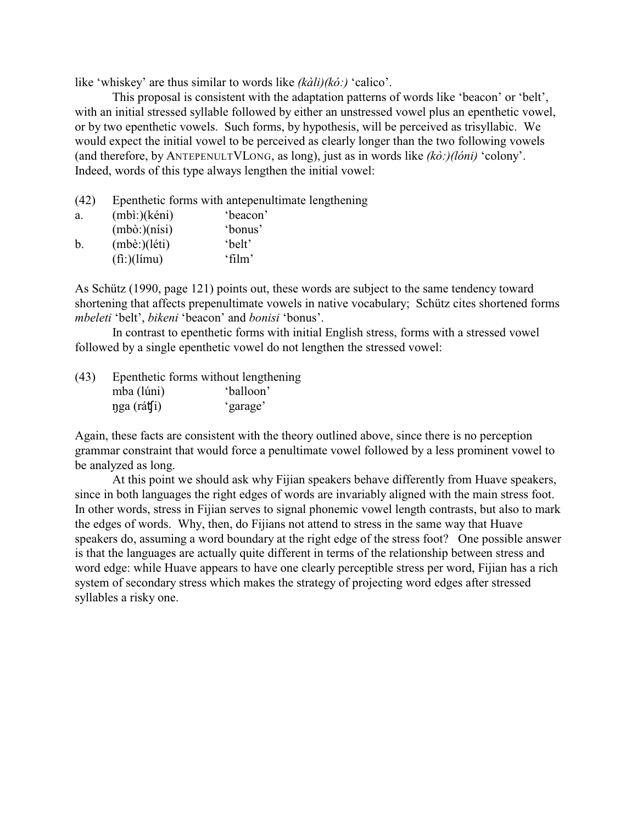like 'whiskey' are thus similar to words like *(kàli)(kó:)* 'calico'.

This proposal is consistent with the adaptation patterns of words like 'beacon' or 'belt', with an initial stressed syllable followed by either an unstressed vowel plus an epenthetic vowel, or by two epenthetic vowels. Such forms, by hypothesis, will be perceived as trisyllabic. We would expect the initial vowel to be perceived as clearly longer than the two following vowels (and therefore, by ANTEPENULTVLONG, as long), just as in words like *(kò:)(lóni)* 'colony'. Indeed, words of this type always lengthen the initial vowel:

(42) Epenthetic forms with antepenultimate lengthening

| a. | (mbi:)(kéni)                   | 'beacon' |
|----|--------------------------------|----------|
|    | $(mb\dot{o}$ : $)(nisi)$       | 'bonus'  |
| b. | $(mb\dot{e}$ : $)(l\dot{e}ti)$ | 'belt'   |
|    | $(f\hat{i}:)(limu)$            | 'film'   |

As Schütz (1990, page 121) points out, these words are subject to the same tendency toward shortening that affects prepenultimate vowels in native vocabulary; Schütz cites shortened forms *mbeleti* 'belt', *bikeni* 'beacon' and *bonisi* 'bonus'.

In contrast to epenthetic forms with initial English stress, forms with a stressed vowel followed by a single epenthetic vowel do not lengthen the stressed vowel:

| (43) |             | Epenthetic forms without lengthening |
|------|-------------|--------------------------------------|
|      | mba (lúni)  | 'balloon'                            |
|      | nga (rátfi) | 'garage'                             |

Again, these facts are consistent with the theory outlined above, since there is no perception grammar constraint that would force a penultimate vowel followed by a less prominent vowel to be analyzed as long.

At this point we should ask why Fijian speakers behave differently from Huave speakers, since in both languages the right edges of words are invariably aligned with the main stress foot. In other words, stress in Fijian serves to signal phonemic vowel length contrasts, but also to mark the edges of words. Why, then, do Fijians not attend to stress in the same way that Huave speakers do, assuming a word boundary at the right edge of the stress foot? One possible answer is that the languages are actually quite different in terms of the relationship between stress and word edge: while Huave appears to have one clearly perceptible stress per word, Fijian has a rich system of secondary stress which makes the strategy of projecting word edges after stressed syllables a risky one.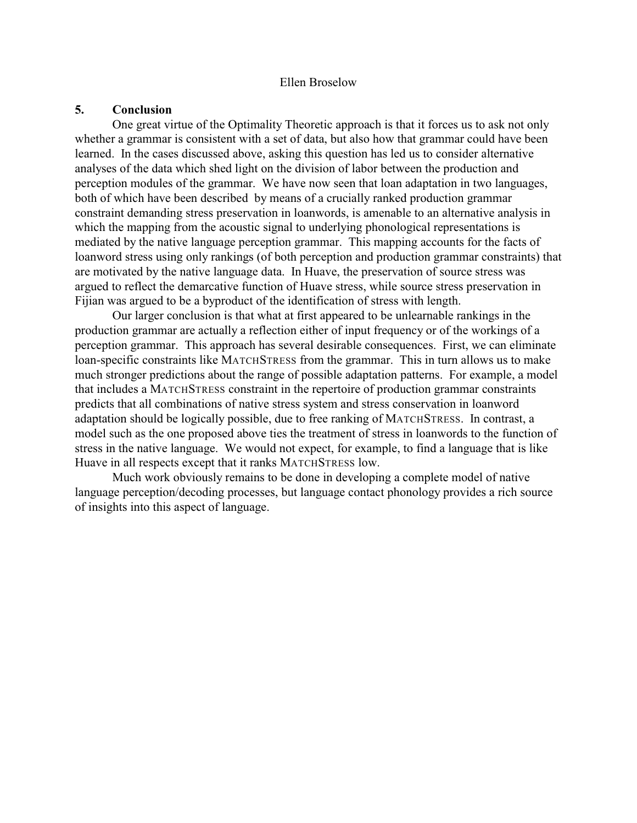## **5. Conclusion**

One great virtue of the Optimality Theoretic approach is that it forces us to ask not only whether a grammar is consistent with a set of data, but also how that grammar could have been learned. In the cases discussed above, asking this question has led us to consider alternative analyses of the data which shed light on the division of labor between the production and perception modules of the grammar. We have now seen that loan adaptation in two languages, both of which have been described by means of a crucially ranked production grammar constraint demanding stress preservation in loanwords, is amenable to an alternative analysis in which the mapping from the acoustic signal to underlying phonological representations is mediated by the native language perception grammar. This mapping accounts for the facts of loanword stress using only rankings (of both perception and production grammar constraints) that are motivated by the native language data. In Huave, the preservation of source stress was argued to reflect the demarcative function of Huave stress, while source stress preservation in Fijian was argued to be a byproduct of the identification of stress with length.

Our larger conclusion is that what at first appeared to be unlearnable rankings in the production grammar are actually a reflection either of input frequency or of the workings of a perception grammar. This approach has several desirable consequences. First, we can eliminate loan-specific constraints like MATCHSTRESS from the grammar. This in turn allows us to make much stronger predictions about the range of possible adaptation patterns. For example, a model that includes a MATCHSTRESS constraint in the repertoire of production grammar constraints predicts that all combinations of native stress system and stress conservation in loanword adaptation should be logically possible, due to free ranking of MATCHSTRESS. In contrast, a model such as the one proposed above ties the treatment of stress in loanwords to the function of stress in the native language. We would not expect, for example, to find a language that is like Huave in all respects except that it ranks MATCHSTRESS low.

Much work obviously remains to be done in developing a complete model of native language perception/decoding processes, but language contact phonology provides a rich source of insights into this aspect of language.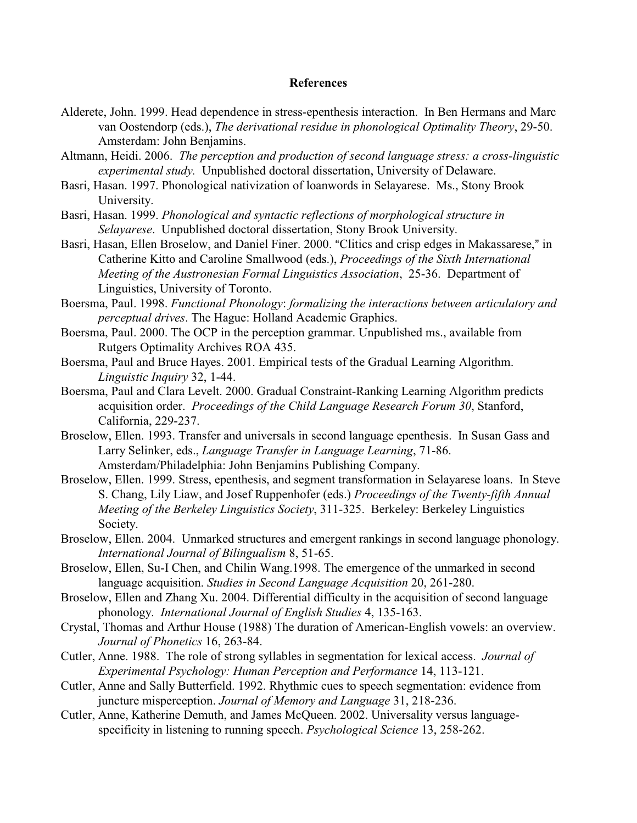#### **References**

- Alderete, John. 1999. Head dependence in stress-epenthesis interaction. In Ben Hermans and Marc van Oostendorp (eds.), *The derivational residue in phonological Optimality Theory*, 29-50. Amsterdam: John Benjamins.
- Altmann, Heidi. 2006. *The perception and production of second language stress: a cross-linguistic experimental study.* Unpublished doctoral dissertation, University of Delaware.
- Basri, Hasan. 1997. Phonological nativization of loanwords in Selayarese. Ms., Stony Brook University.
- Basri, Hasan. 1999. *Phonological and syntactic reflections of morphological structure in Selayarese*. Unpublished doctoral dissertation, Stony Brook University.
- Basri, Hasan, Ellen Broselow, and Daniel Finer. 2000. "Clitics and crisp edges in Makassarese," in Catherine Kitto and Caroline Smallwood (eds.), *Proceedings of the Sixth International Meeting of the Austronesian Formal Linguistics Association*, 25-36. Department of Linguistics, University of Toronto.
- Boersma, Paul. 1998. *Functional Phonology*: *formalizing the interactions between articulatory and perceptual drives*. The Hague: Holland Academic Graphics.
- Boersma, Paul. 2000. The OCP in the perception grammar. Unpublished ms., available from Rutgers Optimality Archives ROA 435.
- Boersma, Paul and Bruce Hayes. 2001. Empirical tests of the Gradual Learning Algorithm. *Linguistic Inquiry* 32, 1-44.
- Boersma, Paul and Clara Levelt. 2000. Gradual Constraint-Ranking Learning Algorithm predicts acquisition order. *Proceedings of the Child Language Research Forum 30*, Stanford, California, 229-237.
- Broselow, Ellen. 1993. Transfer and universals in second language epenthesis. In Susan Gass and Larry Selinker, eds., *Language Transfer in Language Learning*, 71-86. Amsterdam/Philadelphia: John Benjamins Publishing Company.
- Broselow, Ellen. 1999. Stress, epenthesis, and segment transformation in Selayarese loans. In Steve S. Chang, Lily Liaw, and Josef Ruppenhofer (eds.) *Proceedings of the Twenty-fifth Annual Meeting of the Berkeley Linguistics Society*, 311-325. Berkeley: Berkeley Linguistics Society.
- Broselow, Ellen. 2004. Unmarked structures and emergent rankings in second language phonology. *International Journal of Bilingualism* 8, 51-65.
- Broselow, Ellen, Su-I Chen, and Chilin Wang.1998. The emergence of the unmarked in second language acquisition. *Studies in Second Language Acquisition* 20, 261-280.
- Broselow, Ellen and Zhang Xu. 2004. Differential difficulty in the acquisition of second language phonology. *International Journal of English Studies* 4, 135-163.
- Crystal, Thomas and Arthur House (1988) The duration of American-English vowels: an overview. *Journal of Phonetics* 16, 263-84.
- Cutler, Anne. 1988. The role of strong syllables in segmentation for lexical access. *Journal of Experimental Psychology: Human Perception and Performance* 14, 113-121.
- Cutler, Anne and Sally Butterfield. 1992. Rhythmic cues to speech segmentation: evidence from juncture misperception. *Journal of Memory and Language* 31, 218-236.
- Cutler, Anne, Katherine Demuth, and James McQueen. 2002. Universality versus languagespecificity in listening to running speech. *Psychological Science* 13, 258-262.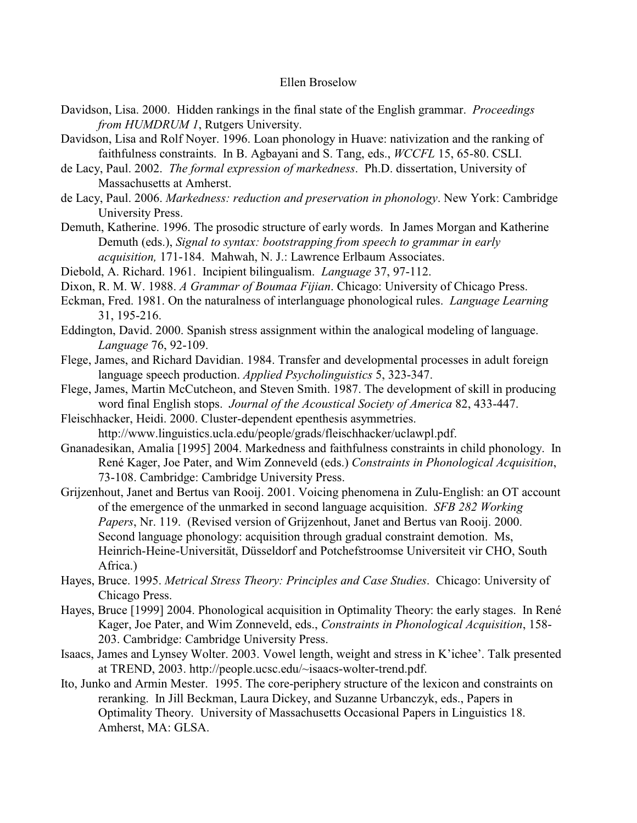- Davidson, Lisa. 2000. Hidden rankings in the final state of the English grammar. *Proceedings from HUMDRUM 1*, Rutgers University.
- Davidson, Lisa and Rolf Noyer. 1996. Loan phonology in Huave: nativization and the ranking of faithfulness constraints. In B. Agbayani and S. Tang, eds., *WCCFL* 15, 65-80. CSLI.
- de Lacy, Paul. 2002. *The formal expression of markedness*. Ph.D. dissertation, University of Massachusetts at Amherst.
- de Lacy, Paul. 2006. *Markedness: reduction and preservation in phonology*. New York: Cambridge University Press.
- Demuth, Katherine. 1996. The prosodic structure of early words. In James Morgan and Katherine Demuth (eds.), *Signal to syntax: bootstrapping from speech to grammar in early acquisition,* 171-184. Mahwah, N. J.: Lawrence Erlbaum Associates.
- Diebold, A. Richard. 1961. Incipient bilingualism. *Language* 37, 97-112.
- Dixon, R. M. W. 1988. *A Grammar of Boumaa Fijian*. Chicago: University of Chicago Press.
- Eckman, Fred. 1981. On the naturalness of interlanguage phonological rules. *Language Learning* 31, 195-216.
- Eddington, David. 2000. Spanish stress assignment within the analogical modeling of language. *Language* 76, 92-109.
- Flege, James, and Richard Davidian. 1984. Transfer and developmental processes in adult foreign language speech production. *Applied Psycholinguistics* 5, 323-347.
- Flege, James, Martin McCutcheon, and Steven Smith. 1987. The development of skill in producing word final English stops. *Journal of the Acoustical Society of America* 82, 433-447.
- Fleischhacker, Heidi. 2000. Cluster-dependent epenthesis asymmetries. http://www.linguistics.ucla.edu/people/grads/fleischhacker/uclawpl.pdf.
- Gnanadesikan, Amalia [1995] 2004. Markedness and faithfulness constraints in child phonology. In René Kager, Joe Pater, and Wim Zonneveld (eds.) *Constraints in Phonological Acquisition*, 73-108. Cambridge: Cambridge University Press.
- Grijzenhout, Janet and Bertus van Rooij. 2001. Voicing phenomena in Zulu-English: an OT account of the emergence of the unmarked in second language acquisition. *SFB 282 Working Papers*, Nr. 119. (Revised version of Grijzenhout, Janet and Bertus van Rooij. 2000. Second language phonology: acquisition through gradual constraint demotion. Ms, Heinrich-Heine-Universität, Düsseldorf and Potchefstroomse Universiteit vir CHO, South Africa.)
- Hayes, Bruce. 1995. *Metrical Stress Theory: Principles and Case Studies*. Chicago: University of Chicago Press.
- Hayes, Bruce [1999] 2004. Phonological acquisition in Optimality Theory: the early stages. In René Kager, Joe Pater, and Wim Zonneveld, eds., *Constraints in Phonological Acquisition*, 158- 203. Cambridge: Cambridge University Press.
- Isaacs, James and Lynsey Wolter. 2003. Vowel length, weight and stress in K'ichee'. Talk presented at TREND, 2003. http://people.ucsc.edu/~isaacs-wolter-trend.pdf.
- Ito, Junko and Armin Mester. 1995. The core-periphery structure of the lexicon and constraints on reranking. In Jill Beckman, Laura Dickey, and Suzanne Urbanczyk, eds., Papers in Optimality Theory. University of Massachusetts Occasional Papers in Linguistics 18. Amherst, MA: GLSA.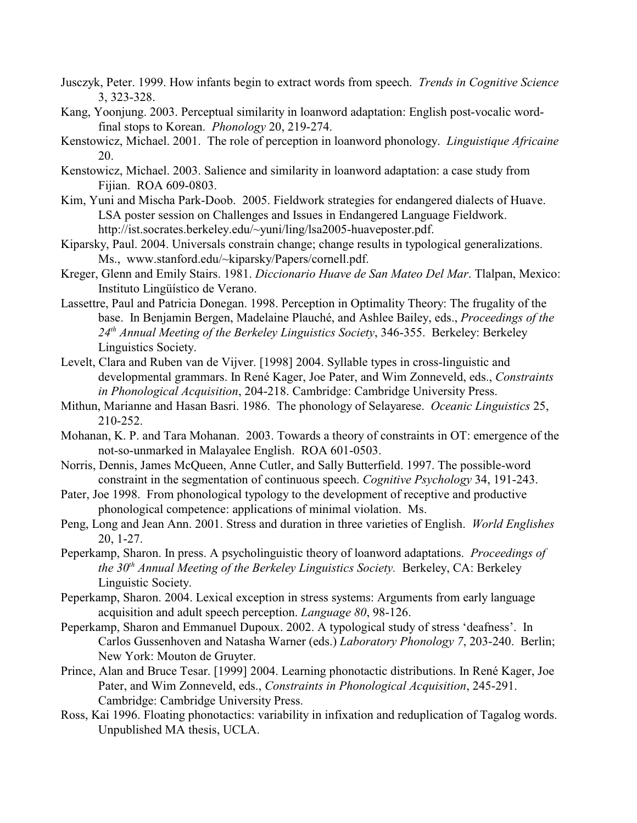- Jusczyk, Peter. 1999. How infants begin to extract words from speech. *Trends in Cognitive Science* 3, 323-328.
- Kang, Yoonjung. 2003. Perceptual similarity in loanword adaptation: English post-vocalic wordfinal stops to Korean. *Phonology* 20, 219-274.
- Kenstowicz, Michael. 2001. The role of perception in loanword phonology. *Linguistique Africaine* 20.
- Kenstowicz, Michael. 2003. Salience and similarity in loanword adaptation: a case study from Fijian. ROA 609-0803.
- Kim, Yuni and Mischa Park-Doob. 2005. Fieldwork strategies for endangered dialects of Huave. LSA poster session on Challenges and Issues in Endangered Language Fieldwork. http://ist.socrates.berkeley.edu/~yuni/ling/lsa2005-huaveposter.pdf.
- Kiparsky, Paul. 2004. Universals constrain change; change results in typological generalizations. Ms., www.stanford.edu/~kiparsky/Papers/cornell.pdf.
- Kreger, Glenn and Emily Stairs. 1981. *Diccionario Huave de San Mateo Del Mar*. Tlalpan, Mexico: Instituto Lingüístico de Verano.
- Lassettre, Paul and Patricia Donegan. 1998. Perception in Optimality Theory: The frugality of the base. In Benjamin Bergen, Madelaine Plauché, and Ashlee Bailey, eds., *Proceedings of the* 24<sup>th</sup> Annual Meeting of the Berkeley Linguistics Society, 346-355. Berkeley: Berkeley Linguistics Society.
- Levelt, Clara and Ruben van de Vijver. [1998] 2004. Syllable types in cross-linguistic and developmental grammars. In René Kager, Joe Pater, and Wim Zonneveld, eds., *Constraints in Phonological Acquisition*, 204-218. Cambridge: Cambridge University Press.
- Mithun, Marianne and Hasan Basri. 1986. The phonology of Selayarese. *Oceanic Linguistics* 25, 210-252.
- Mohanan, K. P. and Tara Mohanan. 2003. Towards a theory of constraints in OT: emergence of the not-so-unmarked in Malayalee English. ROA 601-0503.
- Norris, Dennis, James McQueen, Anne Cutler, and Sally Butterfield. 1997. The possible-word constraint in the segmentation of continuous speech. *Cognitive Psychology* 34, 191-243.
- Pater, Joe 1998. From phonological typology to the development of receptive and productive phonological competence: applications of minimal violation. Ms.
- Peng, Long and Jean Ann. 2001. Stress and duration in three varieties of English. *World Englishes* 20, 1-27.
- Peperkamp, Sharon. In press. A psycholinguistic theory of loanword adaptations. *Proceedings of the 30<sup>th</sup> Annual Meeting of the Berkeley Linguistics Society. Berkeley, CA: Berkeley* Linguistic Society.
- Peperkamp, Sharon. 2004. Lexical exception in stress systems: Arguments from early language acquisition and adult speech perception. *Language 80*, 98-126.
- Peperkamp, Sharon and Emmanuel Dupoux. 2002. A typological study of stress 'deafness'. In Carlos Gussenhoven and Natasha Warner (eds.) *Laboratory Phonology 7*, 203-240. Berlin; New York: Mouton de Gruyter.
- Prince, Alan and Bruce Tesar. [1999] 2004. Learning phonotactic distributions. In René Kager, Joe Pater, and Wim Zonneveld, eds., *Constraints in Phonological Acquisition*, 245-291. Cambridge: Cambridge University Press.
- Ross, Kai 1996. Floating phonotactics: variability in infixation and reduplication of Tagalog words. Unpublished MA thesis, UCLA.